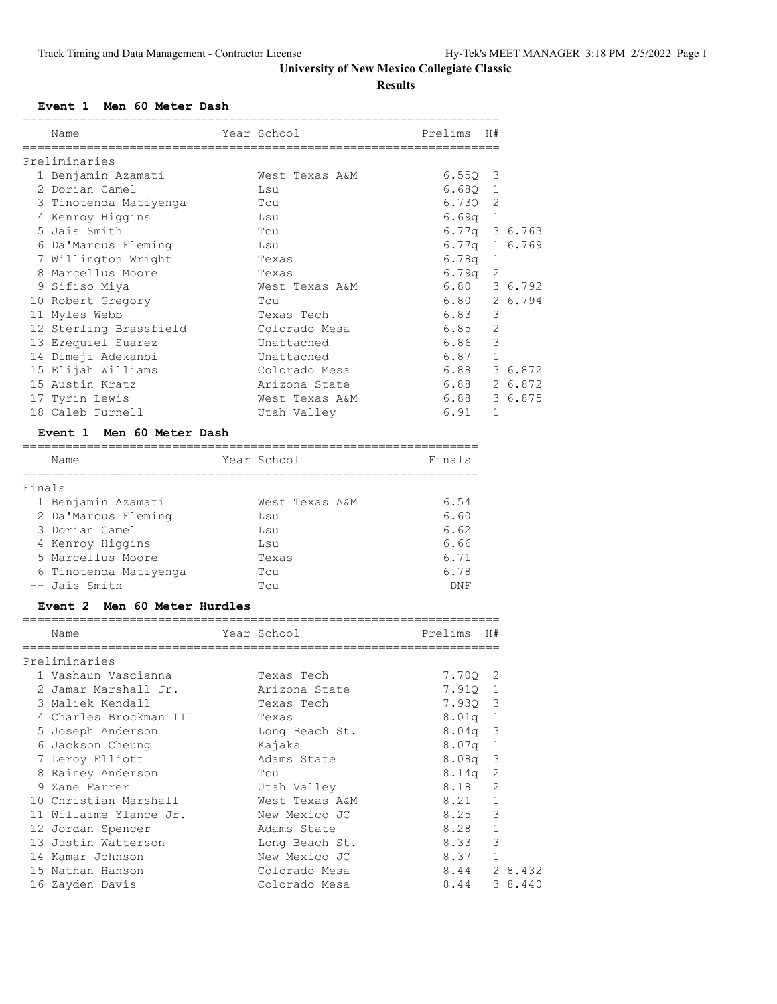**Results**

### **Event 1 Men 60 Meter Dash**

| Name                      |     | Year School      | Prelims         | H#            |         |
|---------------------------|-----|------------------|-----------------|---------------|---------|
| Preliminaries             |     |                  |                 |               |         |
| 1 Benjamin Azamati        |     | West Texas A&M   | $6.55Q$ 3       |               |         |
| 2 Dorian Camel            |     | Lsu              | 6.6801          |               |         |
| 3 Tinotenda Matiyenga     |     | Tcu              | 6.730 2         |               |         |
| 4 Kenroy Higgins          |     | Lsu              | $6.69q$ 1       |               |         |
| 5 Jais Smith              |     | Tcu              | 6.77q 3 6.763   |               |         |
| 6 Da'Marcus Fleming       | Lsu |                  | $6.77q$ 1 6.769 |               |         |
| 7 Willington Wright       |     | Texas            | 6.78q           | $\mathbf{1}$  |         |
| 8 Marcellus Moore         |     | Texas            | $6.79q$ 2       |               |         |
| 9 Sifiso Miya             |     | West Texas A&M   | 6.80 3 6.792    |               |         |
| 10 Robert Gregory         |     | T <sub>C11</sub> | 6.80 2 6.794    |               |         |
| 11 Myles Webb             |     | Texas Tech       | 6.83            | 3             |         |
| 12 Sterling Brassfield    |     | Colorado Mesa    | 6.85            | 2             |         |
| 13 Ezequiel Suarez        |     | Unattached       | 6.86            | $\mathcal{E}$ |         |
| 14 Dimeji Adekanbi        |     | Unattached       | 6.87            | $\mathbf{1}$  |         |
| 15 Elijah Williams        |     | Colorado Mesa    | 6.88 3 6.872    |               |         |
| 15 Austin Kratz           |     | Arizona State    | 6.88            |               | 2 6.872 |
| 17 Tyrin Lewis            |     | West Texas A&M   | 6.88 3 6.875    |               |         |
| 18 Caleb Furnell          |     | Utah Valley      | 6.91            | 1             |         |
| Event 1 Men 60 Meter Dash |     |                  |                 |               |         |

|        | Name                  | Year School    | Finals |
|--------|-----------------------|----------------|--------|
| Finals |                       |                |        |
|        | 1 Benjamin Azamati    | West Texas A&M | 6.54   |
|        | 2 Da'Marcus Fleming   | Lsu            | 6.60   |
|        | 3 Dorian Camel        | Lsu            | 6.62   |
|        | 4 Kenroy Higgins      | Lsu            | 6.66   |
|        | 5 Marcellus Moore     | Texas          | 6.71   |
|        | 6 Tinotenda Matiyenga | TCU            | 6.78   |
|        | -- Jais Smith         | TCU            | DNF    |

## **Event 2 Men 60 Meter Hurdles**

|   | Name                   | Year School    | Prelims           | - H#           |         |
|---|------------------------|----------------|-------------------|----------------|---------|
|   | Preliminaries          |                |                   |                |         |
|   | 1 Vashaun Vascianna    | Texas Tech     | 7.70Q 2           |                |         |
|   | 2 Jamar Marshall Jr.   | Arizona State  | 7.910 1           |                |         |
|   | 3 Maliek Kendall       | Texas Tech     | 7.930 3           |                |         |
|   | 4 Charles Brockman III | Texas          | $8.01q$ 1         |                |         |
|   | 5 Joseph Anderson      | Long Beach St. | $8.04q$ 3         |                |         |
|   | 6 Jackson Cheung       | Kajaks         | 8.07q             | 1              |         |
|   | 7 Leroy Elliott        | Adams State    | $8.08q$ 3         |                |         |
| 8 | Rainey Anderson        | Tcu            | 8.14 <sub>q</sub> | 2              |         |
|   | 9 Zane Farrer          | Utah Valley    | 8.18              | $\overline{2}$ |         |
|   | 10 Christian Marshall  | West Texas A&M | 8.21              | $\mathbf{1}$   |         |
|   | 11 Willaime Ylance Jr. | New Mexico JC  | 8.25              | 3              |         |
|   | 12 Jordan Spencer      | Adams State    | 8.28              | $\mathbf{1}$   |         |
|   | 13 Justin Watterson    | Long Beach St. | 8.33              | 3              |         |
|   | 14 Kamar Johnson       | New Mexico JC  | 8.37              | 1              |         |
|   | 15 Nathan Hanson       | Colorado Mesa  | 8.44              |                | 2 8.432 |
|   | 16 Zayden Davis        | Colorado Mesa  | 8.44              |                | 3 8.440 |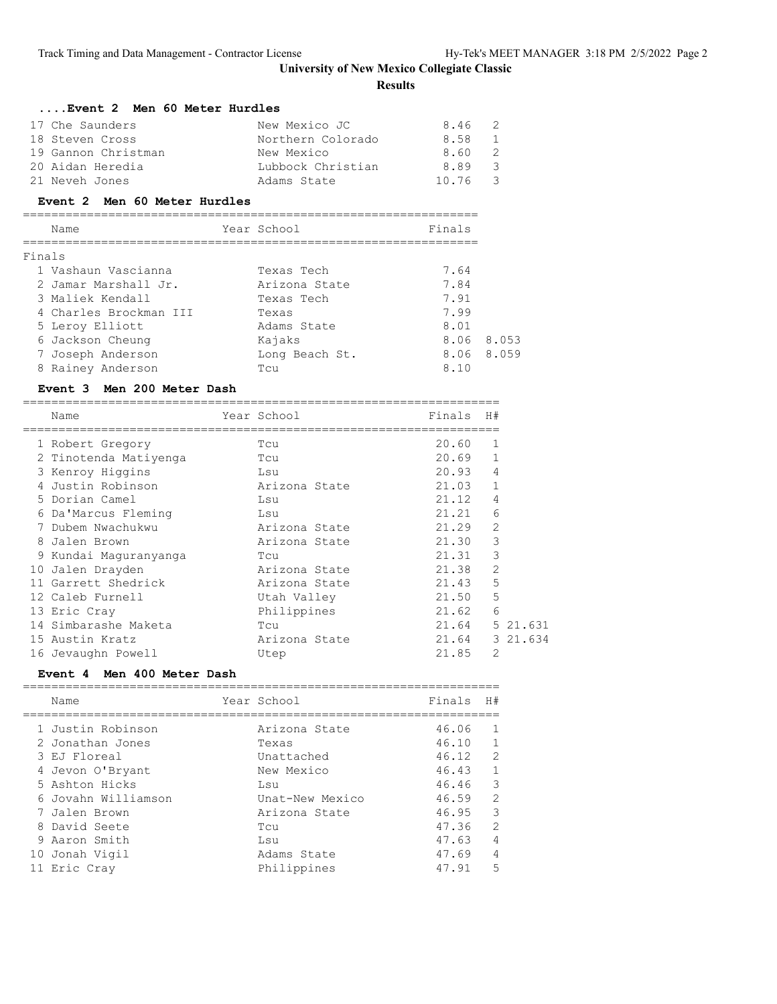**Results**

| Event 2 Men 60 Meter Hurdles |                   |             |                |
|------------------------------|-------------------|-------------|----------------|
| 17 Che Saunders              | New Mexico JC     | $8.46 \t 2$ |                |
| 18 Steven Cross              | Northern Colorado | 8.58        | $\overline{1}$ |
| 19 Gannon Christman          | New Mexico        | 8.60        | - 2            |
| 20 Aidan Heredia             | Lubbock Christian | 8.89        | - 3            |
| 21 Neveh Jones               | Adams State       | 10.76 3     |                |

## **Event 2 Men 60 Meter Hurdles**

| Name                   | Year School    | Finals        |
|------------------------|----------------|---------------|
| Finals                 |                |               |
| 1 Vashaun Vascianna    | Texas Tech     | 7.64          |
| 2 Jamar Marshall Jr.   | Arizona State  | 7.84          |
| 3 Maliek Kendall       | Texas Tech     | 7.91          |
| 4 Charles Brockman III | Texas          | 7.99          |
| 5 Leroy Elliott        | Adams State    | 8.01          |
| 6 Jackson Cheung       | Kajaks         | 8.053<br>8.06 |
| 7 Joseph Anderson      | Long Beach St. | 8.06 8.059    |
| 8 Rainey Anderson      | TCl1           | 8.10          |
|                        |                |               |

### **Event 3 Men 200 Meter Dash**

|   | Name                  | Year School   | Finals | H#             |
|---|-----------------------|---------------|--------|----------------|
|   | 1 Robert Gregory      | Tcu           | 20.60  | 1              |
|   | 2 Tinotenda Matiyenga | Tcu           | 20.69  |                |
|   | 3 Kenroy Higgins      | Lsu           | 20.93  | 4              |
|   | Justin Robinson       | Arizona State | 21.03  |                |
|   | 5 Dorian Camel        | Lsu           | 21.12  | 4              |
| 6 | Da'Marcus Fleming     | Lsu           | 21.21  | 6              |
|   | Dubem Nwachukwu       | Arizona State | 21.29  | $\overline{2}$ |
| 8 | Jalen Brown           | Arizona State | 21.30  | 3              |
|   | 9 Kundai Maquranyanga | Tcu           | 21.31  | 3              |
|   | 10 Jalen Drayden      | Arizona State | 21.38  | $\overline{2}$ |
|   | 11 Garrett Shedrick   | Arizona State | 21.43  | 5              |
|   | 12 Caleb Furnell      | Utah Valley   | 21.50  | 5              |
|   | 13 Eric Cray          | Philippines   | 21.62  | 6              |
|   | 14 Simbarashe Maketa  | Tcu           | 21.64  | 5 21.631       |
|   | 15 Austin Kratz       | Arizona State | 21.64  | 3 21.634       |
|   | 16 Jevaughn Powell    | Utep          | 21.85  | $\overline{2}$ |

## **Event 4 Men 400 Meter Dash**

| Name                | Year School     | Finals | H#            |
|---------------------|-----------------|--------|---------------|
| 1 Justin Robinson   | Arizona State   | 46.06  |               |
| 2 Jonathan Jones    | Texas           | 46.10  | 1             |
| 3 EJ Floreal        | Unattached      | 46.12  | $\mathcal{L}$ |
| 4 Jevon O'Bryant    | New Mexico      | 46.43  |               |
| 5 Ashton Hicks      | Lsu             | 46.46  | 3             |
| 6 Jovahn Williamson | Unat-New Mexico | 46.59  | 2             |
| 7 Jalen Brown       | Arizona State   | 46.95  | 3             |
| 8 David Seete       | TCl1            | 47.36  | $\mathcal{L}$ |
| 9 Aaron Smith       | Lsu             | 47.63  | 4             |
| 10 Jonah Vigil      | Adams State     | 47.69  | 4             |
| 11 Eric Cray        | Philippines     | 47.91  | 5             |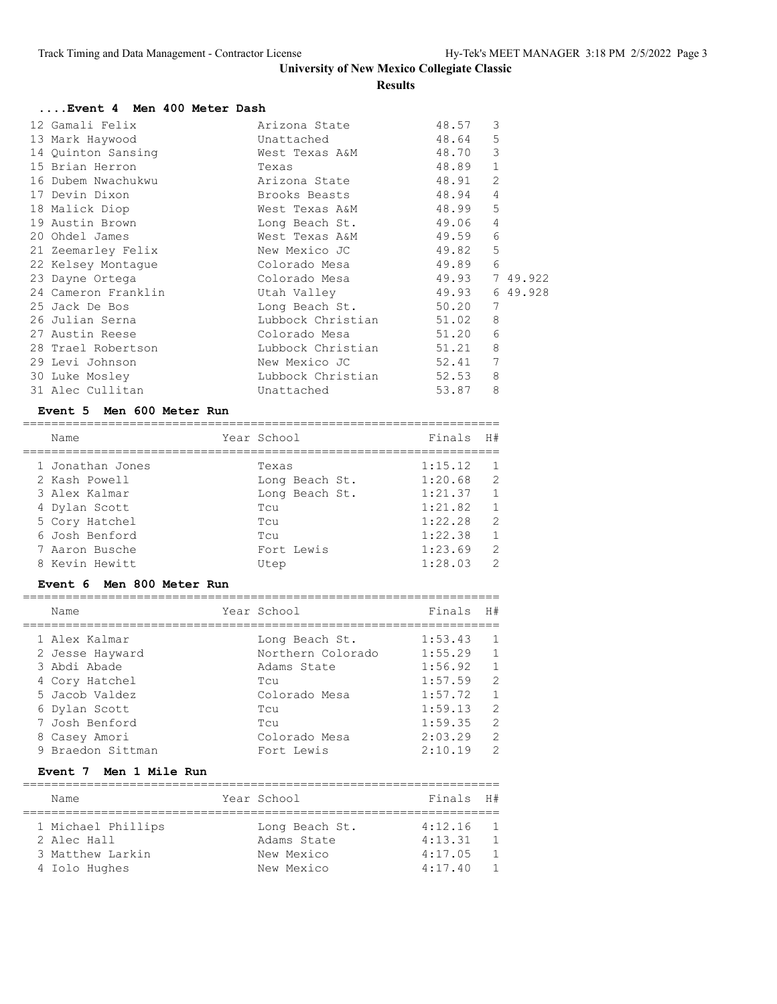**Results**

| Event 4 Men 400 Meter Dash |                                                  |       |                |  |  |  |  |
|----------------------------|--------------------------------------------------|-------|----------------|--|--|--|--|
| 12 Gamali Felix            | Arizona State 57                                 |       | 3              |  |  |  |  |
| 13 Mark Haywood            | Unattached                                       | 48.64 | 5              |  |  |  |  |
| 14 Quinton Sansing         | West Texas A&M                                   | 48.70 | 3              |  |  |  |  |
| 15 Brian Herron            | Texas                                            | 48.89 | $\mathbf{1}$   |  |  |  |  |
| 16 Dubem Nwachukwu         | Arizona State                                    | 48.91 | $\overline{2}$ |  |  |  |  |
| 17 Devin Dixon             | Brooks Beasts and the Brooks Brooks of the Maria | 48.94 | $\overline{4}$ |  |  |  |  |
| 18 Malick Diop             | West Texas A&M                                   | 48.99 | 5              |  |  |  |  |
| 19 Austin Brown            | Long Beach St.                                   | 49.06 | 4              |  |  |  |  |
| 20 Ohdel James             | West Texas A&M 49.59                             |       | 6              |  |  |  |  |
| 21 Zeemarley Felix         | New Mexico JC                                    | 49.82 | 5              |  |  |  |  |
| 22 Kelsey Montaque         | Colorado Mesa                                    | 49.89 | 6              |  |  |  |  |
| 23 Dayne Ortega            | Colorado Mesa                                    | 49.93 | 7 49.922       |  |  |  |  |
| 24 Cameron Franklin        | Utah Valley 19.93                                |       | 6 49.928       |  |  |  |  |
| 25 Jack De Bos             | Long Beach St. 50.20                             |       | 7              |  |  |  |  |
| 26 Julian Serna            | Lubbock Christian 51.02                          |       | 8              |  |  |  |  |
| 27 Austin Reese            | 51.20<br>Colorado Mesa                           |       | 6              |  |  |  |  |
| 28 Trael Robertson         | Lubbock Christian 51.21                          |       | 8              |  |  |  |  |
| 29 Levi Johnson            | 52.41<br>New Mexico JC                           |       | 7              |  |  |  |  |
| 30 Luke Mosley             | Lubbock Christian 52.53                          |       | 8              |  |  |  |  |
| 31 Alec Cullitan           | Unattached                                       | 53.87 | 8              |  |  |  |  |

### **Event 5 Men 600 Meter Run**

| Name             | Year School    | Finals  | H#             |
|------------------|----------------|---------|----------------|
| 1 Jonathan Jones | Texas          | 1:15.12 | $\overline{1}$ |
| 2 Kash Powell    | Long Beach St. | 1:20.68 | $\overline{2}$ |
| 3 Alex Kalmar    | Long Beach St. | 1:21.37 | $\overline{1}$ |
| 4 Dylan Scott    | TCU            | 1:21.82 | $\overline{1}$ |
| 5 Cory Hatchel   | TCU            | 1:22.28 | 2              |
| 6 Josh Benford   | TCU            | 1:22.38 | $\overline{1}$ |
| 7 Aaron Busche   | Fort Lewis     | 1:23.69 | 2              |
| 8 Kevin Hewitt   | Utep           | 1:28.03 | $\overline{2}$ |

### **Event 6 Men 800 Meter Run**

| Name              | Year School       | Finals  | H#             |
|-------------------|-------------------|---------|----------------|
| 1 Alex Kalmar     | Long Beach St.    | 1:53.43 | $\overline{1}$ |
| 2 Jesse Hayward   | Northern Colorado | 1:55.29 | $\mathbf{1}$   |
| 3 Abdi Abade      | Adams State       | 1:56.92 | $\mathbf{1}$   |
| 4 Cory Hatchel    | TCU               | 1:57.59 | 2              |
| 5 Jacob Valdez    | Colorado Mesa     | 1:57.72 | $\overline{1}$ |
| 6 Dylan Scott     | TCU               | 1:59.13 | 2              |
| 7 Josh Benford    | TCU               | 1:59.35 | 2              |
| 8 Casey Amori     | Colorado Mesa     | 2:03.29 | $\overline{2}$ |
| 9 Braedon Sittman | Fort Lewis        | 2:10.19 | $\mathcal{L}$  |
|                   |                   |         |                |

### **Event 7 Men 1 Mile Run**

| Name |                                                                        |                | Finals H#   |                                          |  |  |  |  |
|------|------------------------------------------------------------------------|----------------|-------------|------------------------------------------|--|--|--|--|
|      |                                                                        |                |             |                                          |  |  |  |  |
|      |                                                                        | Long Beach St. |             | $\overline{1}$                           |  |  |  |  |
|      |                                                                        | Adams State    |             | $\overline{1}$                           |  |  |  |  |
|      |                                                                        | New Mexico     |             | $\overline{1}$                           |  |  |  |  |
|      |                                                                        | New Mexico     |             | $\overline{1}$                           |  |  |  |  |
|      | 1 Michael Phillips<br>2 Alec Hall<br>3 Matthew Larkin<br>4 Iolo Hughes |                | Year School | 4:12.16<br>4:13.31<br>4:17.05<br>4:17.40 |  |  |  |  |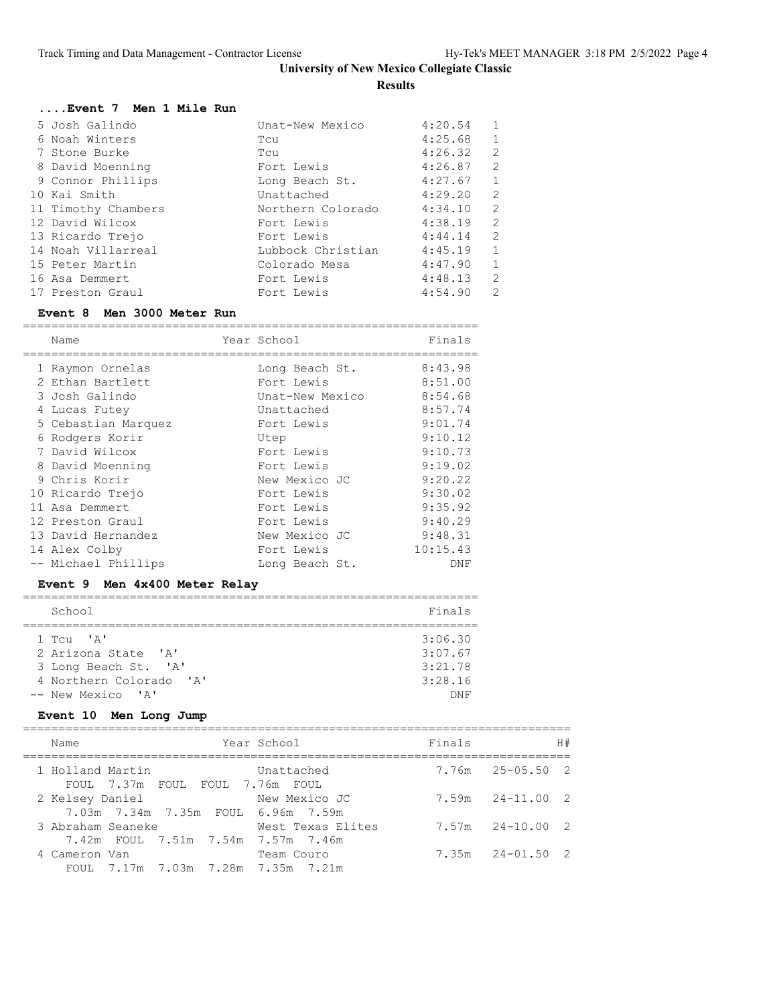| Event 7 Men 1 Mile Run |                   |         |              |
|------------------------|-------------------|---------|--------------|
| 5 Josh Galindo         | Unat-New Mexico   | 4:20.54 | 1            |
| 6 Noah Winters         | Tcu               | 4:25.68 | $\mathbf{1}$ |
| 7 Stone Burke          | Tcu               | 4:26.32 | 2            |
| 8 David Moenning       | Fort Lewis        | 4:26.87 | 2            |
| 9 Connor Phillips      | Long Beach St.    | 4:27.67 | $\mathbf{1}$ |
| 10 Kai Smith           | Unattached        | 4:29.20 | 2            |
| 11 Timothy Chambers    | Northern Colorado | 4:34.10 | 2            |
| 12 David Wilcox        | Fort Lewis        | 4:38.19 | 2            |
| 13 Ricardo Trejo       | Fort Lewis        | 4:44.14 | 2            |
| 14 Noah Villarreal     | Lubbock Christian | 4:45.19 | 1            |
| 15 Peter Martin        | Colorado Mesa     | 4:47.90 | 1            |
| 16 Asa Demmert         | Fort Lewis        | 4:48.13 | 2            |
| 17 Preston Graul       | Fort Lewis        | 4:54.90 | 2            |

## **Event 8 Men 3000 Meter Run**

| Name                | Year School     | Finals   |
|---------------------|-----------------|----------|
| 1 Raymon Ornelas    | Long Beach St.  | 8:43.98  |
| 2 Ethan Bartlett    | Fort Lewis      | 8:51.00  |
| 3 Josh Galindo      | Unat-New Mexico | 8:54.68  |
| 4 Lucas Futey       | Unattached      | 8:57.74  |
| 5 Cebastian Marquez | Fort Lewis      | 9:01.74  |
| 6 Rodgers Korir     | Utep            | 9:10.12  |
| 7 David Wilcox      | Fort Lewis      | 9:10.73  |
| 8 David Moenning    | Fort Lewis      | 9:19.02  |
| 9 Chris Korir       | New Mexico JC   | 9:20.22  |
| 10 Ricardo Trejo    | Fort Lewis      | 9:30.02  |
| 11 Asa Demmert      | Fort Lewis      | 9:35.92  |
| 12 Preston Graul    | Fort Lewis      | 9:40.29  |
| 13 David Hernandez  | New Mexico JC   | 9:48.31  |
| 14 Alex Colby       | Fort Lewis      | 10:15.43 |
| -- Michael Phillips | Long Beach St.  | DNF      |

## **Event 9 Men 4x400 Meter Relay**

| School                                      | Finals  |
|---------------------------------------------|---------|
|                                             |         |
| $1$ $T$ $C11$ $R$ <sup><math>I</math></sup> | 3:06.30 |
| 2 Arizona State 'A'                         | 3:07.67 |
| 3 Long Beach St. 'A'                        | 3:21.78 |
| 4 Northern Colorado 'A'                     | 3:28.16 |
| -- New Mexico 'A'                           |         |

## **Event 10 Men Long Jump**

| Name                                                    | Year School       | Finals | H#                   |
|---------------------------------------------------------|-------------------|--------|----------------------|
| 1 Holland Martin<br>FOUL 7.37m FOUL FOUL 7.76m FOUL     | Unattached        |        | $7.76m$ $25-05.50$ 2 |
| 2 Kelsey Daniel<br>7.03m 7.34m 7.35m FOUL 6.96m 7.59m   | New Mexico JC     |        | $7.59m$ $24-11.00$ 2 |
| 3 Abraham Seaneke<br>7.42m FOUL 7.51m 7.54m 7.57m 7.46m | West Texas Elites |        | $7.57m$ $24-10.00$ 2 |
| 4 Cameron Van<br>FOUL 7.17m 7.03m 7.28m 7.35m 7.21m     | Team Couro        |        | $7.35m$ $24-01.50$ 2 |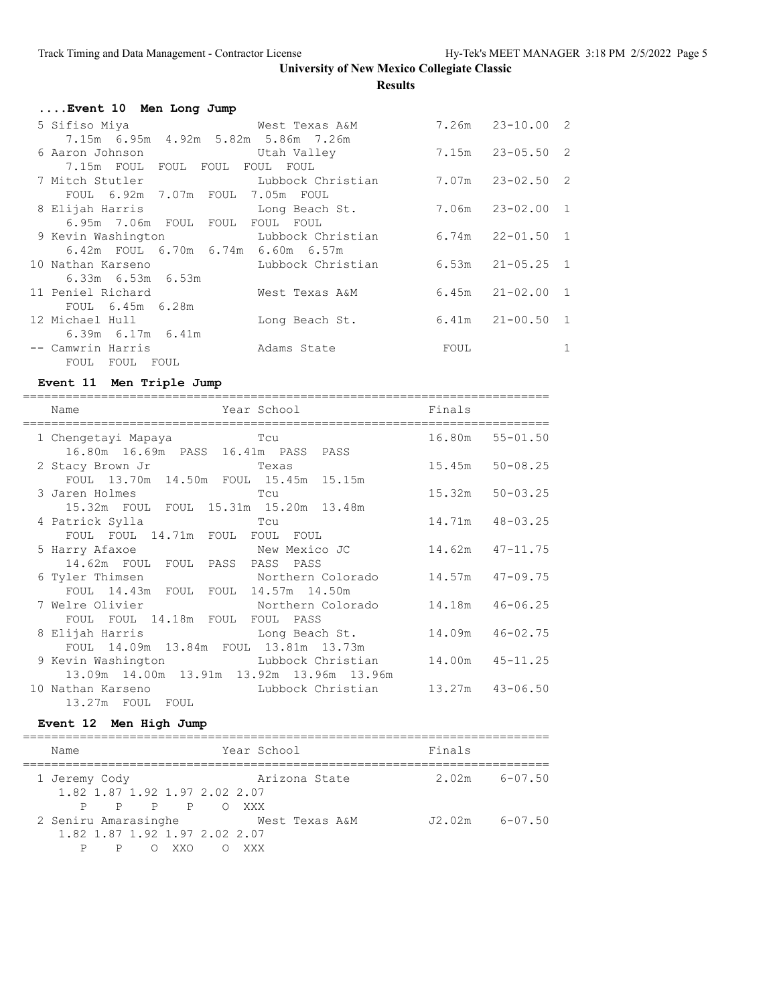==========================================================================

| Event 10 Men Long Jump                       |                   |             |                      |   |
|----------------------------------------------|-------------------|-------------|----------------------|---|
| 5 Sifiso Miya<br>West Texas A&M              |                   |             | $7.26m$ $23-10.00$ 2 |   |
| 7.15m 6.95m 4.92m 5.82m 5.86m 7.26m          |                   |             |                      |   |
| 6 Aaron Johnson based of Utah Valley         |                   |             | $7.15m$ $23-05.50$ 2 |   |
| 7.15m FOUL FOUL FOUL FOUL FOUL               |                   |             |                      |   |
| 7 Mitch Stutler bubbock Christian            |                   |             | 7.07m 23-02.50 2     |   |
| FOUL 6.92m 7.07m FOUL 7.05m FOUL             |                   |             |                      |   |
| 8 Elijah Harris             Long Beach St.   |                   |             | 7.06m 23-02.00 1     |   |
| 6.95m 7.06m FOUL FOUL FOUL FOUL              |                   |             |                      |   |
| 9 Kevin Washington         Lubbock Christian |                   |             | $6.74m$ $22-01.50$ 1 |   |
| 6.42m FOUL 6.70m 6.74m 6.60m 6.57m           |                   |             |                      |   |
| 10 Nathan Karseno                            | Lubbock Christian |             | $6.53m$ $21-05.25$ 1 |   |
| $6.33m$ $6.53m$ $6.53m$                      |                   |             |                      |   |
| 11 Peniel Richard                            | West Texas A&M    |             | $6.45m$ $21-02.00$ 1 |   |
| FOUL 6.45m 6.28m                             |                   |             |                      |   |
| 12 Michael Hull                              | Long Beach St.    |             | $6.41m$ $21-00.50$ 1 |   |
| 6.39m 6.17m 6.41m                            |                   |             |                      |   |
| -- Camwrin Harris<br>Adams State             |                   | <b>EOUL</b> |                      | 1 |
| FOUL FOUL FOUL                               |                   |             |                      |   |

## **Event 11 Men Triple Jump**

| Name                                                                                                                                                                       | Year School                       | Finals              |  |
|----------------------------------------------------------------------------------------------------------------------------------------------------------------------------|-----------------------------------|---------------------|--|
| 1 Chengetayi Mapaya<br>16.80m  16.69m  PASS  16.41m  PASS  PASS                                                                                                            |                                   | $16.80m$ $55-01.50$ |  |
| 2 Stacy Brown Jr<br>FOUL 13.70m 14.50m FOUL 15.45m 15.15m                                                                                                                  | Texas                             | $15.45m$ $50-08.25$ |  |
| 3 Jaren Holmes<br>15.32m FOUL FOUL 15.31m 15.20m 13.48m                                                                                                                    | Tcu                               | 15.32m 50-03.25     |  |
| 4 Patrick Sylla<br><b>Transfer Transfer Transfer Transfer Transfer Transfer Transfer Transfer Transfer Transfer Transfer Transfer T</b><br>FOUL FOUL 14.71m FOUL FOUL FOUL |                                   | 14.71m  48-03.25    |  |
| 5 Harry Afaxoe<br>New Mexico JC<br>14.62m FOUL FOUL PASS PASS PASS                                                                                                         |                                   | $14.62m$ $47-11.75$ |  |
| 6 Tyler Thimsen Morthern Colorado 14.57m 47-09.75<br>FOUL 14.43m FOUL FOUL 14.57m 14.50m                                                                                   |                                   |                     |  |
| 7 Welre Olivier<br>FOUL FOUL 14.18m FOUL FOUL PASS                                                                                                                         | Northern Colorado 14.18m 46-06.25 |                     |  |
| 8 Elijah Harris                                                                                                                                                            | Long Beach St.                    | 14.09m 46-02.75     |  |
| FOUL 14.09m 13.84m FOUL 13.81m 13.73m<br>9 Kevin Washington Mubbock Christian                                                                                              |                                   | 14.00m 45-11.25     |  |
| 13.09m  14.00m  13.91m  13.92m  13.96m  13.96m<br>10 Nathan Karseno Market Lubbock Christian 13.27m 43-06.50<br>13.27m FOUL FOUL                                           |                                   |                     |  |

## **Event 12 Men High Jump**

| Name                                      | Year School    | Finals            |
|-------------------------------------------|----------------|-------------------|
| 1 Jeremy Cody                             | Arizona State  | 6-07.50<br>2.02m  |
| 1.82 1.87 1.92 1.97 2.02 2.07<br>PPP OXXX |                |                   |
| 2 Seniru Amarasinghe                      | West Texas A&M | 6-07.50<br>J2.02m |
| 1.82 1.87 1.92 1.97 2.02 2.07             |                |                   |
| XXO                                       | XXX            |                   |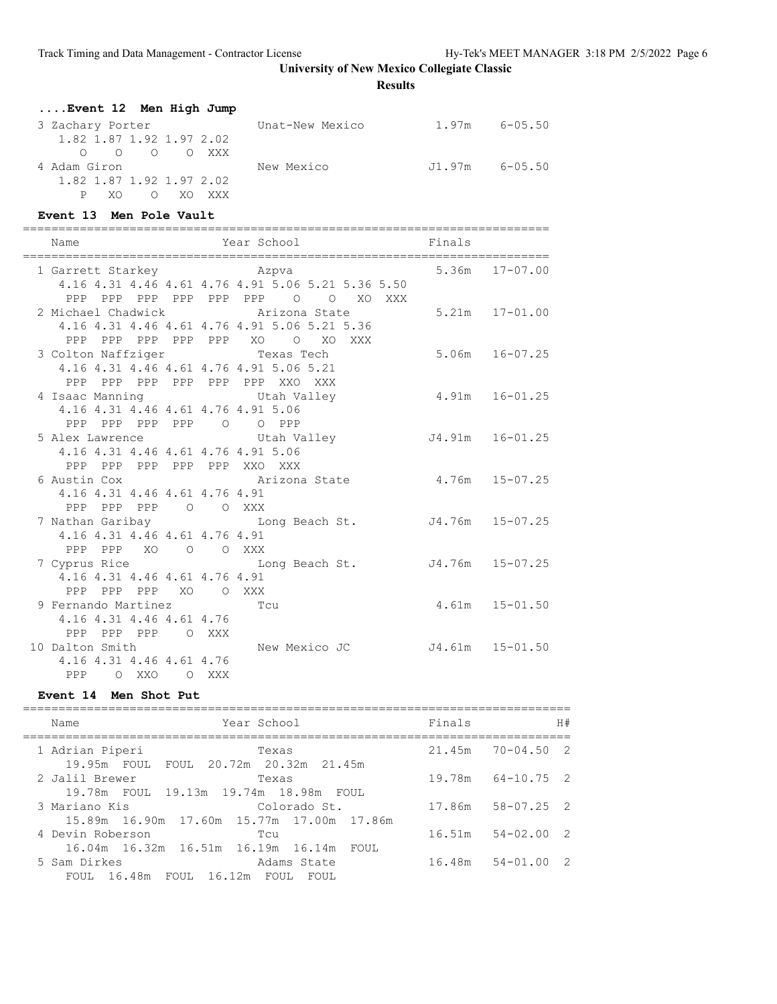## **Results**

| Event 12 Men High Jump   |                 |        |              |
|--------------------------|-----------------|--------|--------------|
| 3 Zachary Porter         | Unat-New Mexico | 1.97m  | $6 - 0.5.50$ |
| 1.82 1.87 1.92 1.97 2.02 |                 |        |              |
| $O$ $O$ $O$ $O$ $XXX$    |                 |        |              |
| 4 Adam Giron             | New Mexico      | J1.97m | $6 - 05.50$  |
| 1.82 1.87 1.92 1.97 2.02 |                 |        |              |
| XXX<br>X()<br>X()        |                 |        |              |

## **Event 13 Men Pole Vault**

| Name                               |                     |       | Year School                                       | Finals |                    |
|------------------------------------|---------------------|-------|---------------------------------------------------|--------|--------------------|
| 1 Garrett Starkey Mazpva           |                     |       |                                                   |        | $5.36m$ $17-07.00$ |
|                                    |                     |       | 4.16 4.31 4.46 4.61 4.76 4.91 5.06 5.21 5.36 5.50 |        |                    |
|                                    |                     |       | PPP PPP PPP PPP PPP PPP 0 0<br>XO XXX             |        |                    |
|                                    |                     |       | 2 Michael Chadwick Arizona State                  |        | $5.21m$ $17-01.00$ |
|                                    |                     |       | 4.16 4.31 4.46 4.61 4.76 4.91 5.06 5.21 5.36      |        |                    |
| PPP                                | PPP PPP PPP PPP XO  |       | $\circ$<br>XO<br>XXX                              |        |                    |
|                                    |                     |       | 3 Colton Naffziger Texas Tech                     |        | $5.06m$ $16-07.25$ |
|                                    |                     |       | 4.16 4.31 4.46 4.61 4.76 4.91 5.06 5.21           |        |                    |
|                                    |                     |       | PPP PPP PPP PPP PPP PPP XXO XXX                   |        |                    |
|                                    |                     |       | 4 Isaac Manning The Utah Valley                   |        | $4.91m$ $16-01.25$ |
|                                    |                     |       | 4.16 4.31 4.46 4.61 4.76 4.91 5.06                |        |                    |
|                                    |                     |       | PPP PPP PPP PPP 0 0 PPP                           |        |                    |
| 5 Alex Lawrence                    |                     |       |                                                   |        |                    |
| 4.16 4.31 4.46 4.61 4.76 4.91 5.06 |                     |       |                                                   |        |                    |
|                                    |                     |       | PPP PPP PPP PPP PPP XXO XXX                       |        |                    |
|                                    |                     |       | 6 Austin Cox <b>Arizona</b> State                 |        | $4.76m$ $15-07.25$ |
| 4.16 4.31 4.46 4.61 4.76 4.91      |                     |       |                                                   |        |                    |
|                                    | PPP PPP PPP 0 0 XXX |       |                                                   |        |                    |
| 7 Nathan Garibay                   |                     |       | Long Beach St. J4.76m 15-07.25                    |        |                    |
| 4.16 4.31 4.46 4.61 4.76 4.91      |                     |       |                                                   |        |                    |
| PPP                                | PPP XO O O XXX      |       |                                                   |        |                    |
|                                    |                     |       | 7 Cyprus Rice The Long Beach St. J4.76m 15-07.25  |        |                    |
| 4.16 4.31 4.46 4.61 4.76 4.91      |                     |       |                                                   |        |                    |
|                                    | PPP PPP PPP XO OXXX |       |                                                   |        |                    |
| 9 Fernando Martinez                |                     |       | <b>Example 19 Tour Tour</b>                       |        | $4.61m$ $15-01.50$ |
| 4.16 4.31 4.46 4.61 4.76           |                     |       |                                                   |        |                    |
| PPP PPP PPP O XXX                  |                     |       |                                                   |        |                    |
| 10 Dalton Smith                    |                     |       | New Mexico JC                                     |        | J4.61m 15-01.50    |
| 4.16 4.31 4.46 4.61 4.76           |                     |       |                                                   |        |                    |
| PPP<br>O XXO                       |                     | O XXX |                                                   |        |                    |

### **Event 14 Men Shot Put**

| Year School<br>Name                                                        | Finals | H#                    |
|----------------------------------------------------------------------------|--------|-----------------------|
| 1 Adrian Piperi<br>Texas<br>19.95m FOUL FOUL 20.72m 20.32m 21.45m          |        | $21.45m$ $70-04.50$ 2 |
| 2 Jalil Brewer<br>Texas<br>19.78m FOUL 19.13m 19.74m 18.98m FOUL           |        | 19.78m 64-10.75 2     |
| 3 Mariano Kis<br>Colorado St.<br>15.89m 16.90m 17.60m 15.77m 17.00m 17.86m |        | 17.86m 58-07.25 2     |
| 4 Devin Roberson<br>Tcu<br>16.04m 16.32m 16.51m 16.19m 16.14m<br>FOUL.     |        | $16.51m$ $54-02.00$ 2 |
| 5 Sam Dirkes<br>Adams State<br>FOUL 16.48m FOUL 16.12m FOUL FOUL           |        | 16.48m 54-01.00 2     |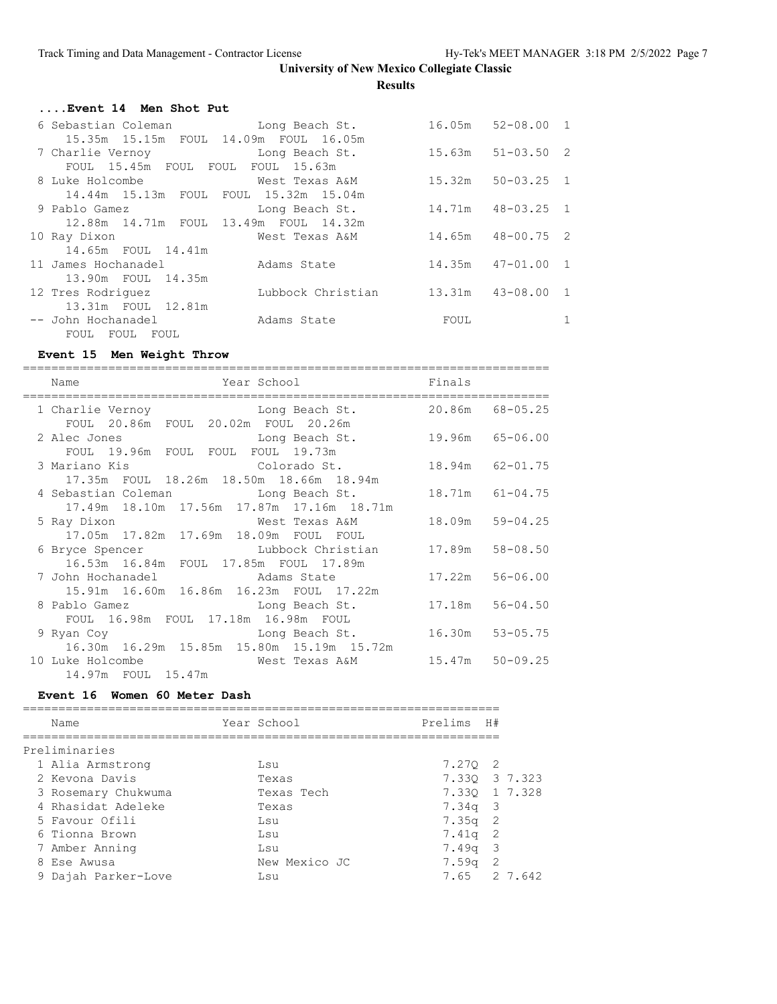## **....Event 14 Men Shot Put**

| 6 Sebastian Coleman and Long Beach St.<br>15.35m 15.15m FOUL 14.09m FOUL 16.05m |                   |        | $16.05m$ $52-08.00$ 1 |  |
|---------------------------------------------------------------------------------|-------------------|--------|-----------------------|--|
| 7 Charlie Vernoy Cong Beach St.                                                 |                   |        | $15.63m$ $51-03.50$ 2 |  |
| FOUL 15.45m FOUL FOUL FOUL 15.63m                                               |                   |        |                       |  |
| 8 Luke Holcombe                                                                 | West Texas A&M    | 15.32m | $50 - 03.25$ 1        |  |
| 14.44m 15.13m FOUL FOUL 15.32m 15.04m                                           |                   |        |                       |  |
| 9 Pablo Gamez                                                                   | Long Beach St.    |        | 14.71m  48-03.25  1   |  |
| 12.88m  14.71m  FOUL  13.49m  FOUL  14.32m                                      |                   |        |                       |  |
| 10 Ray Dixon                                                                    | West Texas A&M    |        | 14.65m 48-00.75 2     |  |
| 14.65m FOUL 14.41m                                                              |                   |        |                       |  |
| 11 James Hochanadel                                                             | Adams State       |        | $14.35m$ $47-01.00$ 1 |  |
| 13.90m FOUL 14.35m                                                              |                   |        |                       |  |
| 12 Tres Rodriquez                                                               | Lubbock Christian | 13.31m | $43 - 08.00$ 1        |  |
| 13.31m FOUL 12.81m                                                              |                   |        |                       |  |
| -- John Hochanadel                                                              | Adams State       | FOUL   |                       |  |
| FOUL FOUL FOUL                                                                  |                   |        |                       |  |

## **Event 15 Men Weight Throw**

| Year School extended to the School<br>Name<br>=============================                     | Finals |                 |
|-------------------------------------------------------------------------------------------------|--------|-----------------|
| 1 Charlie Vernoy Cong Beach St.<br>FOUL 20.86m FOUL 20.02m FOUL 20.26m                          |        | 20.86m 68-05.25 |
| 2 Alec Jones 65-06.00 Long Beach St. 19.96m 65-06.00<br>FOUL 19.96m FOUL FOUL FOUL 19.73m       |        |                 |
| 17.35m FOUL 18.26m 18.50m 18.66m 18.94m                                                         |        | 18.94m 62-01.75 |
| 4 Sebastian Coleman Long Beach St. 18.71m 61-04.75<br>17.49m 18.10m 17.56m 17.87m 17.16m 18.71m |        |                 |
| West Texas A&M<br>5 Ray Dixon<br>17.05m  17.82m  17.69m  18.09m  FOUL  FOUL                     |        | 18.09m 59-04.25 |
| 6 Bryce Spencer Lubbock Christian 17.89m 58-08.50<br>16.53m 16.84m FOUL 17.85m FOUL 17.89m      |        |                 |
| 7 John Hochanadel Adams State<br>15.91m 16.60m 16.86m 16.23m FOUL 17.22m                        | 17.22m | $56 - 06.00$    |
| 8 Pablo Gamez Cong Beach St.<br>FOUL 16.98m FOUL 17.18m 16.98m FOUL                             | 17.18m | $56 - 04.50$    |
| 9 Ryan Coy Contract Cong Beach St.<br>16.30m  16.29m  15.85m  15.80m  15.19m  15.72m            |        | 16.30m 53-05.75 |
| 10 Luke Holcombe<br>14.97m FOUL 15.47m                                                          |        |                 |

### **Event 16 Women 60 Meter Dash**

| Name                | Year School   | Prelims       | H# |  |
|---------------------|---------------|---------------|----|--|
| Preliminaries       |               |               |    |  |
| 1 Alia Armstrong    | Lsu           | 7.270 2       |    |  |
| 2 Kevona Davis      | Texas         | 7.330 3 7.323 |    |  |
| 3 Rosemary Chukwuma | Texas Tech    | 7.330 1 7.328 |    |  |
| 4 Rhasidat Adeleke  | Texas         | $7.34q$ 3     |    |  |
| 5 Favour Ofili      | Lsu           | $7.35q$ 2     |    |  |
| 6 Tionna Brown      | Lsu           | $7.41q$ 2     |    |  |
| 7 Amber Anning      | Lsu           | $7.49q$ 3     |    |  |
| 8 Ese Awusa         | New Mexico JC | $7.59q$ 2     |    |  |
| 9 Dajah Parker-Love | Lsu           | 7.65 2 7.642  |    |  |
|                     |               |               |    |  |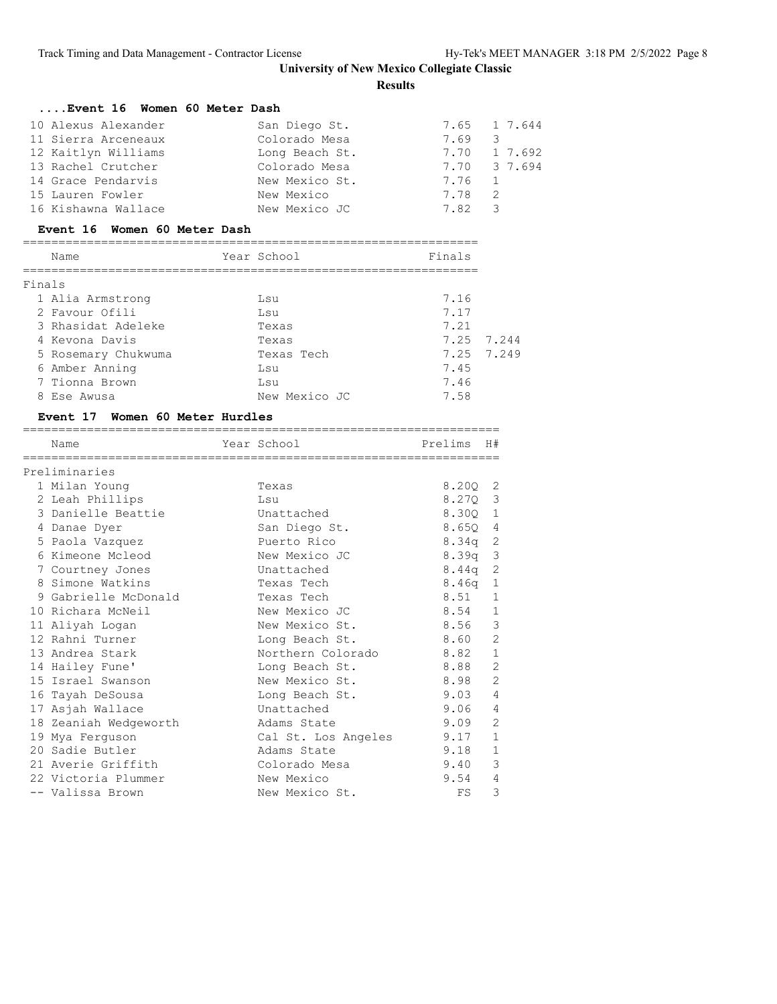**Results**

| Event 16 Women 60 Meter Dash |                |        |              |
|------------------------------|----------------|--------|--------------|
| 10 Alexus Alexander          | San Diego St.  |        | 7.65 1 7.644 |
| 11 Sierra Arceneaux          | Colorado Mesa  | 7.69 3 |              |
| 12 Kaitlyn Williams          | Long Beach St. |        | 7.70 1 7.692 |
| 13 Rachel Crutcher           | Colorado Mesa  |        | 7.70 3 7.694 |
| 14 Grace Pendarvis           | New Mexico St. | 7.76 1 |              |
| 15 Lauren Fowler             | New Mexico     | 7.78 2 |              |
| 16 Kishawna Wallace          | New Mexico JC  | 7.82 3 |              |

### **Event 16 Women 60 Meter Dash**

|        | Name                | Year School   | Finals |            |
|--------|---------------------|---------------|--------|------------|
| Finals |                     |               |        |            |
|        | 1 Alia Armstrong    | Lsu           | 7.16   |            |
|        | 2 Favour Ofili      | Lsu           | 7.17   |            |
|        | 3 Rhasidat Adeleke  | Texas         | 7.21   |            |
|        | 4 Keyona Davis      | Texas         | 7.25   | 7.244      |
|        | 5 Rosemary Chukwuma | Texas Tech    |        | 7.25 7.249 |
|        | 6 Amber Anning      | Lsu           | 7.45   |            |
|        | 7 Tionna Brown      | Lsu           | 7.46   |            |
| 8      | Ese Awusa           | New Mexico JC | 7.58   |            |

### **Event 17 Women 60 Meter Hurdles**

| Name                  | Year School                      | Prelims   | H#             |
|-----------------------|----------------------------------|-----------|----------------|
| ------------------    | ================================ |           |                |
| Preliminaries         |                                  |           |                |
| 1 Milan Young         | Texas                            | 8.200     | -2             |
| 2 Leah Phillips       | Lsu                              | 8.27Q 3   |                |
| 3 Danielle Beattie    | Unattached                       | 8.300 1   |                |
| 4 Danae Dyer          | San Diego St.                    | 8.650     | $\overline{4}$ |
| 5 Paola Vazquez       | Puerto Rico                      | $8.34q$ 2 |                |
| 6 Kimeone Mcleod      | New Mexico JC                    | 8.39a     | $\mathcal{S}$  |
| 7 Courtney Jones      | Unattached                       | $8.44q$ 2 |                |
| 8 Simone Watkins      | Texas Tech                       | 8.46q     | $\mathbf{1}$   |
| 9 Gabrielle McDonald  | Texas Tech                       | 8.51      | $\mathbf{1}$   |
| 10 Richara McNeil     | New Mexico JC                    | 8.54      | $\mathbf{1}$   |
| 11 Aliyah Logan       | New Mexico St.                   | 8.56      | 3              |
| 12 Rahni Turner       | Long Beach St.                   | 8.60      | $\mathbf{2}$   |
| 13 Andrea Stark       | Northern Colorado                | 8.82      | $\mathbf{1}$   |
| 14 Hailey Fune'       | Long Beach St.                   | 8.88      | 2              |
| 15 Israel Swanson     | New Mexico St.                   | 8.98      | 2              |
| 16 Tayah DeSousa      | Long Beach St.                   | 9.03      | $\overline{4}$ |
| 17 Asjah Wallace      | Unattached                       | 9.06      | $\overline{4}$ |
| 18 Zeaniah Wedgeworth | Adams State                      | 9.09      | 2              |
| 19 Mya Ferguson       | Cal St. Los Angeles              | 9.17      | $\mathbf{1}$   |
| 20 Sadie Butler       | Adams State                      | 9.18      | $\mathbf{1}$   |
| 21 Averie Griffith    | Colorado Mesa                    | 9.40      | 3              |
| 22 Victoria Plummer   | New Mexico                       | 9.54      | $\overline{4}$ |
| -- Valissa Brown      | New Mexico St.                   | FS        | 3              |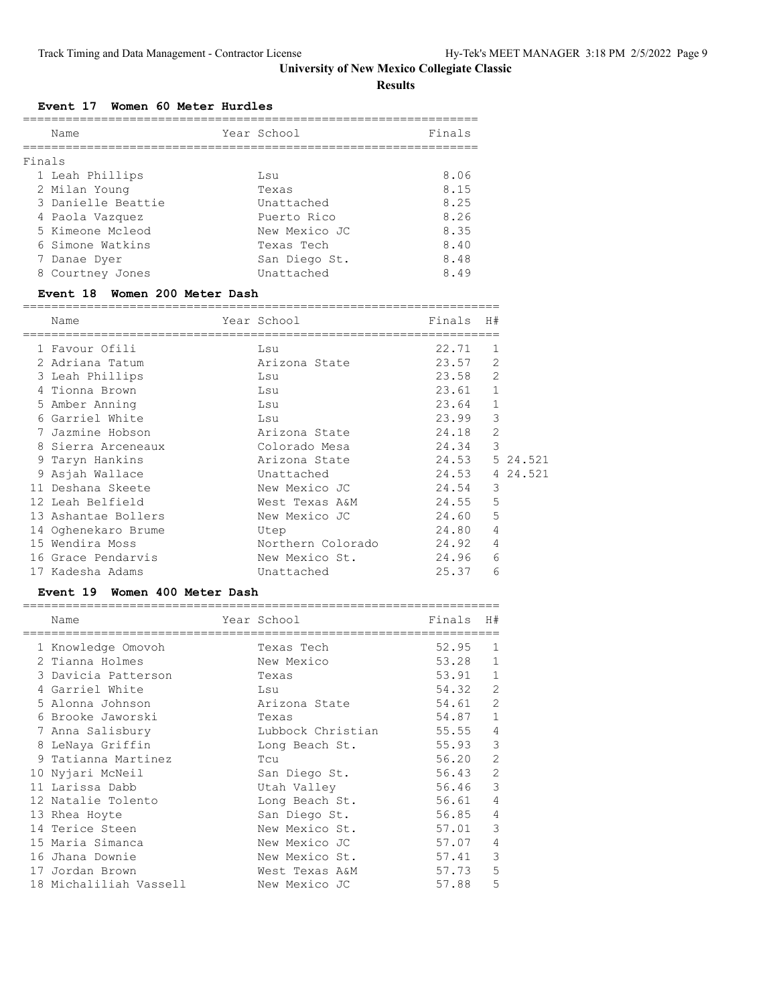**Results**

### **Event 17 Women 60 Meter Hurdles**

|        | Name               | Year School   | Finals |
|--------|--------------------|---------------|--------|
|        |                    |               |        |
| Finals |                    |               |        |
|        | 1 Leah Phillips    | Lsu           | 8.06   |
|        | 2 Milan Young      | Texas         | 8.15   |
|        | 3 Danielle Beattie | Unattached    | 8.25   |
|        | 4 Paola Vazquez    | Puerto Rico   | 8.26   |
|        | 5 Kimeone Mcleod   | New Mexico JC | 8.35   |
|        | 6 Simone Watkins   | Texas Tech    | 8.40   |
|        | 7 Danae Dyer       | San Diego St. | 8.48   |
|        | 8 Courtney Jones   | Unattached    | 8.49   |
|        |                    |               |        |

## **Event 18 Women 200 Meter Dash**

|   | Name                | Year School       | Finals H# |                |
|---|---------------------|-------------------|-----------|----------------|
|   | 1 Favour Ofili      | Lsu               | 22.71     | $\mathbf{1}$   |
|   | 2 Adriana Tatum     | Arizona State     | 23.57     | $\overline{2}$ |
|   | 3 Leah Phillips     | Lsu               | 23.58     | $\overline{2}$ |
|   | 4 Tionna Brown      | Lsu               | 23.61     | $\mathbf{1}$   |
|   | 5 Amber Anning      | Lsu               | 23.64     | $\mathbf{1}$   |
|   | Garriel White       | Lsu               | 23.99     | 3              |
|   | 7 Jazmine Hobson    | Arizona State     | 24.18     | $\mathfrak{D}$ |
| 8 | Sierra Arceneaux    | Colorado Mesa     | 24.34     | 3              |
|   | 9 Taryn Hankins     | Arizona State     | 24.53     | 5 24.521       |
|   | 9 Asjah Wallace     | Unattached        | 24.53     | 4 24.521       |
|   | 11 Deshana Skeete   | New Mexico JC     | 24.54     | 3              |
|   | 12 Leah Belfield    | West Texas A&M    | 24.55     | 5              |
|   | 13 Ashantae Bollers | New Mexico JC     | 24.60     | 5              |
|   | 14 Oghenekaro Brume | Utep              | 24.80     | 4              |
|   | 15 Wendira Moss     | Northern Colorado | 24.92     | 4              |
|   | 16 Grace Pendarvis  | New Mexico St.    | 24.96     | 6              |
|   | 17 Kadesha Adams    | Unattached        | 25.37     | 6              |

### **Event 19 Women 400 Meter Dash**

| Name                   | Year School       | Finals  | H#             |
|------------------------|-------------------|---------|----------------|
| 1 Knowledge Omovoh     | Texas Tech        | 52.95   | 1              |
| 2 Tianna Holmes        | New Mexico        | 53.28   | $\mathbf{1}$   |
| 3 Davicia Patterson    | Texas             | 53.91   | $\mathbf{1}$   |
| 4 Garriel White        | Lsu               | 54.32 2 |                |
| 5 Alonna Johnson       | Arizona State     | 54.61   | 2              |
| 6 Brooke Jaworski      | Texas             | 54.87   | $\mathbf{1}$   |
| 7 Anna Salisbury       | Lubbock Christian | 55.55   | $\overline{4}$ |
| 8 LeNaya Griffin       | Long Beach St.    | 55.93   | 3              |
| 9 Tatianna Martinez    | Tcu               | 56.20   | 2              |
| 10 Nyjari McNeil       | San Diego St.     | 56.43   | $\overline{2}$ |
| 11 Larissa Dabb        | Utah Valley       | 56.46   | 3              |
| 12 Natalie Tolento     | Long Beach St.    | 56.61   | $\overline{4}$ |
| 13 Rhea Hoyte          | San Diego St.     | 56.85   | $\overline{4}$ |
| 14 Terice Steen        | New Mexico St.    | 57.01   | 3              |
| 15 Maria Simanca       | New Mexico JC     | 57.07   | 4              |
| 16 Jhana Downie        | New Mexico St.    | 57.41   | 3              |
| 17 Jordan Brown        | West Texas A&M    | 57.73   | 5              |
| 18 Michaliliah Vassell | New Mexico JC     | 57.88   | 5              |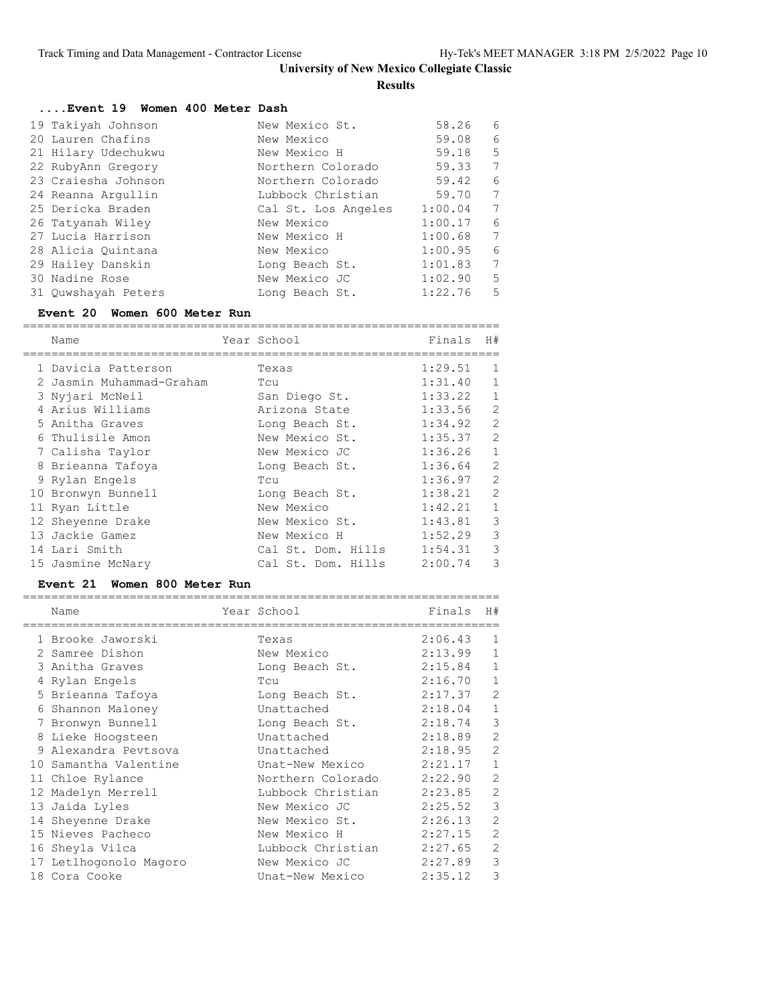**Results**

| Event 19 Women 400 Meter Dash |                     |         |   |
|-------------------------------|---------------------|---------|---|
| 19 Takiyah Johnson            | New Mexico St.      | 58.26   | 6 |
| 20 Lauren Chafins             | New Mexico          | 59.08   | 6 |
| 21 Hilary Udechukwu           | New Mexico H        | 59.18   | 5 |
| 22 RubyAnn Gregory            | Northern Colorado   | 59.33   | 7 |
| 23 Craiesha Johnson           | Northern Colorado   | 59.42   | 6 |
| 24 Reanna Arqullin            | Lubbock Christian   | 59.70   | 7 |
| 25 Dericka Braden             | Cal St. Los Angeles | 1:00.04 | 7 |
| 26 Tatyanah Wiley             | New Mexico          | 1:00.17 | 6 |
| 27 Lucia Harrison             | New Mexico H        | 1:00.68 | 7 |
| 28 Alicia Ouintana            | New Mexico          | 1:00.95 | 6 |
| 29 Hailey Danskin             | Long Beach St.      | 1:01.83 | 7 |
| 30 Nadine Rose                | New Mexico JC       | 1:02.90 | 5 |
| 31 Quwshayah Peters           | Long Beach St.      | 1:22.76 | 5 |

## **Event 20 Women 600 Meter Run**

| Name                     | Year School        | Finals  | H#           |
|--------------------------|--------------------|---------|--------------|
| 1 Davicia Patterson      | Texas              | 1:29.51 | -1           |
| 2 Jasmin Muhammad-Graham | Tcu                | 1:31.40 | $\mathbf{1}$ |
| 3 Nyjari McNeil          | San Diego St.      | 1:33.22 | $\mathbf{1}$ |
| 4 Arius Williams         | Arizona State      | 1:33.56 | 2            |
| 5 Anitha Graves          | Long Beach St.     | 1:34.92 | 2            |
| 6 Thulisile Amon         | New Mexico St.     | 1:35.37 | 2            |
| 7 Calisha Taylor         | New Mexico JC      | 1:36.26 | $\mathbf{1}$ |
| 8 Brieanna Tafoya        | Long Beach St.     | 1:36.64 | 2            |
| 9 Rylan Engels           | Tcu                | 1:36.97 | 2            |
| 10 Bronwyn Bunnell       | Long Beach St.     | 1:38.21 | 2            |
| 11 Ryan Little           | New Mexico         | 1:42.21 | $\mathbf{1}$ |
| 12 Sheyenne Drake        | New Mexico St.     | 1:43.81 | 3            |
| 13 Jackie Gamez          | New Mexico H       | 1:52.29 | 3            |
| 14 Lari Smith            | Cal St. Dom. Hills | 1:54.31 | 3            |
| 15 Jasmine McNary        | Cal St. Dom. Hills | 2:00.74 | 3            |

## **Event 21 Women 800 Meter Run**

|     | Name                   | Year School       | Finals  | H#             |
|-----|------------------------|-------------------|---------|----------------|
|     | 1 Brooke Jaworski      | Texas             | 2:06.43 | $\mathbf{1}$   |
|     | 2 Samree Dishon        | New Mexico        | 2:13.99 | $\mathbf{1}$   |
|     | 3 Anitha Graves        | Long Beach St.    | 2:15.84 | $\mathbf{1}$   |
|     | 4 Rylan Engels         | Tcu               | 2:16.70 | 1              |
|     | 5 Brieanna Tafoya      | Long Beach St.    | 2:17.37 | 2              |
| 6   | Shannon Maloney        | Unattached        | 2:18.04 | $\mathbf{1}$   |
|     | 7 Bronwyn Bunnell      | Long Beach St.    | 2:18.74 | 3              |
|     | 8 Lieke Hoogsteen      | Unattached        | 2:18.89 | $\mathfrak{D}$ |
|     | 9 Alexandra Pevtsova   | Unattached        | 2:18.95 | $\overline{2}$ |
| 1 O | Samantha Valentine     | Unat-New Mexico   | 2:21.17 | $\mathbf{1}$   |
|     | 11 Chloe Rylance       | Northern Colorado | 2:22.90 | $\overline{2}$ |
|     | 12 Madelyn Merrell     | Lubbock Christian | 2:23.85 | 2              |
|     | 13 Jaida Lyles         | New Mexico JC     | 2:25.52 | 3              |
|     | 14 Sheyenne Drake      | New Mexico St.    | 2:26.13 | $\overline{2}$ |
|     | 15 Nieves Pacheco      | New Mexico H      | 2:27.15 | $\overline{2}$ |
|     | 16 Sheyla Vilca        | Lubbock Christian | 2:27.65 | 2              |
|     | 17 Letlhogonolo Magoro | New Mexico JC     | 2:27.89 | 3              |
|     | 18 Cora Cooke          | Unat-New Mexico   | 2:35.12 | 3              |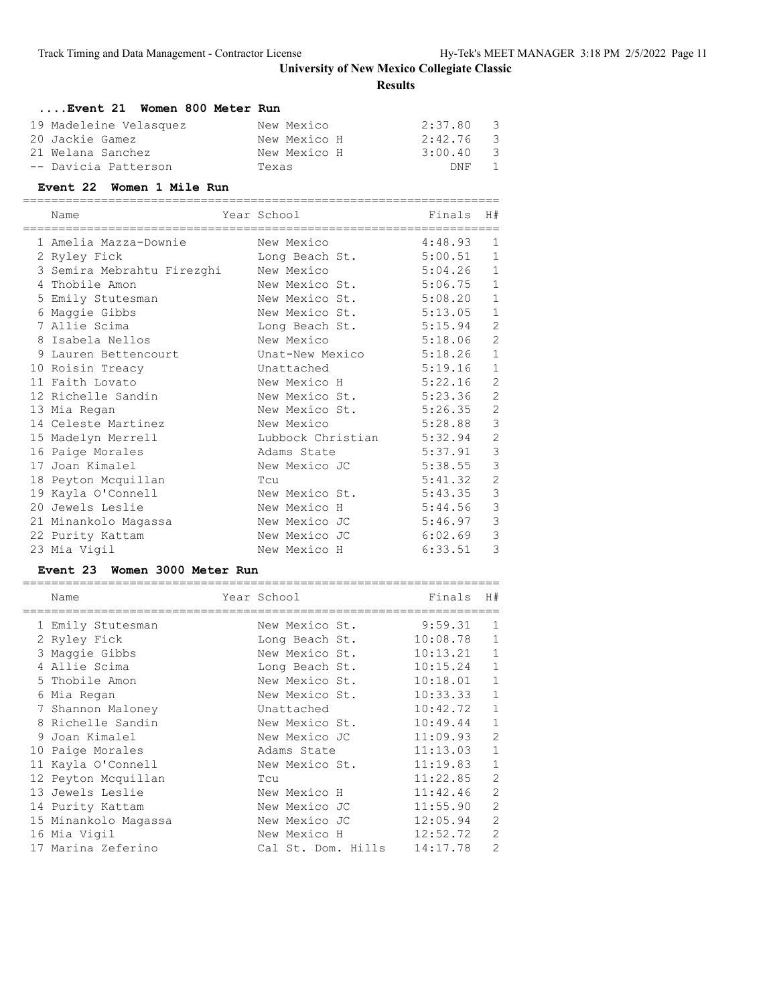**Results**

| Event 21 Women 800 Meter Run |              |                       |
|------------------------------|--------------|-----------------------|
| 19 Madeleine Velasquez       | New Mexico   | - 3<br>2:37.80        |
| 20 Jackie Gamez              | New Mexico H | - 3<br>2:42.76        |
| 21 Welana Sanchez            | New Mexico H | - 3<br>3:00.40        |
| -- Davicia Patterson         | Texas        | $\overline{1}$<br>DNF |

## **Event 22 Women 1 Mile Run**

| Name<br>:============      | Year School    | ============================== | Finals  | H#             |
|----------------------------|----------------|--------------------------------|---------|----------------|
| 1 Amelia Mazza-Downie      | New Mexico     |                                | 4:48.93 | 1              |
| 2 Ryley Fick               | Long Beach St. |                                | 5:00.51 | $\mathbf{1}$   |
| 3 Semira Mebrahtu Firezghi | New Mexico     |                                | 5:04.26 | $1\,$          |
| 4 Thobile Amon             |                | New Mexico St. 5:06.75         |         | $\,1\,$        |
| 5 Emily Stutesman          |                | New Mexico St.                 | 5:08.20 | $\,1\,$        |
| 6 Maggie Gibbs             |                | New Mexico St. 5:13.05         |         | $\,1\,$        |
| 7 Allie Scima              |                | Long Beach St.                 | 5:15.94 | $\overline{c}$ |
| 8 Isabela Nellos           | New Mexico     |                                | 5:18.06 | $\overline{c}$ |
| 9 Lauren Bettencourt       |                | Unat-New Mexico 5:18.26        |         | $1\,$          |
| 10 Roisin Treacy           | Unattached     |                                | 5:19.16 | $1\,$          |
| 11 Faith Lovato            | New Mexico H   |                                | 5:22.16 | $\overline{c}$ |
| 12 Richelle Sandin         |                | New Mexico St. 5:23.36         |         | $\overline{c}$ |
| 13 Mia Regan               |                | New Mexico St. 5:26.35         |         | $\overline{c}$ |
| 14 Celeste Martinez        | New Mexico     |                                | 5:28.88 | $\mathcal{S}$  |
| 15 Madelyn Merrell         |                | Lubbock Christian              | 5:32.94 | $\mathbf{2}$   |
| 16 Paige Morales           | Adams State    |                                | 5:37.91 | $\mathcal{S}$  |
| 17 Joan Kimalel            | New Mexico JC  |                                | 5:38.55 | 3              |
| 18 Peyton Mcquillan        | Tcu            |                                | 5:41.32 | $\mathbf{2}$   |
| 19 Kayla O'Connell         | New Mexico St. |                                | 5:43.35 | $\mathcal{S}$  |
| 20 Jewels Leslie           | New Mexico H   |                                | 5:44.56 | 3              |
| 21 Minankolo Magassa       | New Mexico JC  |                                | 5:46.97 | 3              |
| 22 Purity Kattam           | New Mexico JC  |                                | 6:02.69 | 3              |
| 23 Mia Vigil               | New Mexico H   |                                | 6:33.51 | 3              |

## **Event 23 Women 3000 Meter Run**

| Name                 | Year School        | Finals   | H#             |
|----------------------|--------------------|----------|----------------|
| 1 Emily Stutesman    | New Mexico St.     | 9:59.31  | 1              |
| 2 Ryley Fick         | Long Beach St.     | 10:08.78 | $\mathbf{1}$   |
| 3 Maggie Gibbs       | New Mexico St.     | 10:13.21 | $\mathbf{1}$   |
| 4 Allie Scima        | Long Beach St.     | 10:15.24 | $\mathbf{1}$   |
| 5 Thobile Amon       | New Mexico St.     | 10:18.01 | $\mathbf{1}$   |
| 6 Mia Regan          | New Mexico St.     | 10:33.33 | $\mathbf{1}$   |
| 7 Shannon Maloney    | Unattached         | 10:42.72 | $1\,$          |
| 8 Richelle Sandin    | New Mexico St.     | 10:49.44 | $\mathbf{1}$   |
| 9 Joan Kimalel       | New Mexico JC      | 11:09.93 | $\overline{2}$ |
| 10 Paige Morales     | Adams State        | 11:13.03 | $\mathbf{1}$   |
| 11 Kayla O'Connell   | New Mexico St.     | 11:19.83 | $\mathbf{1}$   |
| 12 Peyton Mcquillan  | Tcu                | 11:22.85 | $\overline{2}$ |
| 13 Jewels Leslie     | New Mexico H       | 11:42.46 | $\overline{2}$ |
| 14 Purity Kattam     | New Mexico JC      | 11:55.90 | $\sqrt{2}$     |
| 15 Minankolo Magassa | New Mexico JC      | 12:05.94 | $\overline{2}$ |
| 16 Mia Vigil         | New Mexico H       | 12:52.72 | $\overline{2}$ |
| 17 Marina Zeferino   | Cal St. Dom. Hills | 14:17.78 | 2              |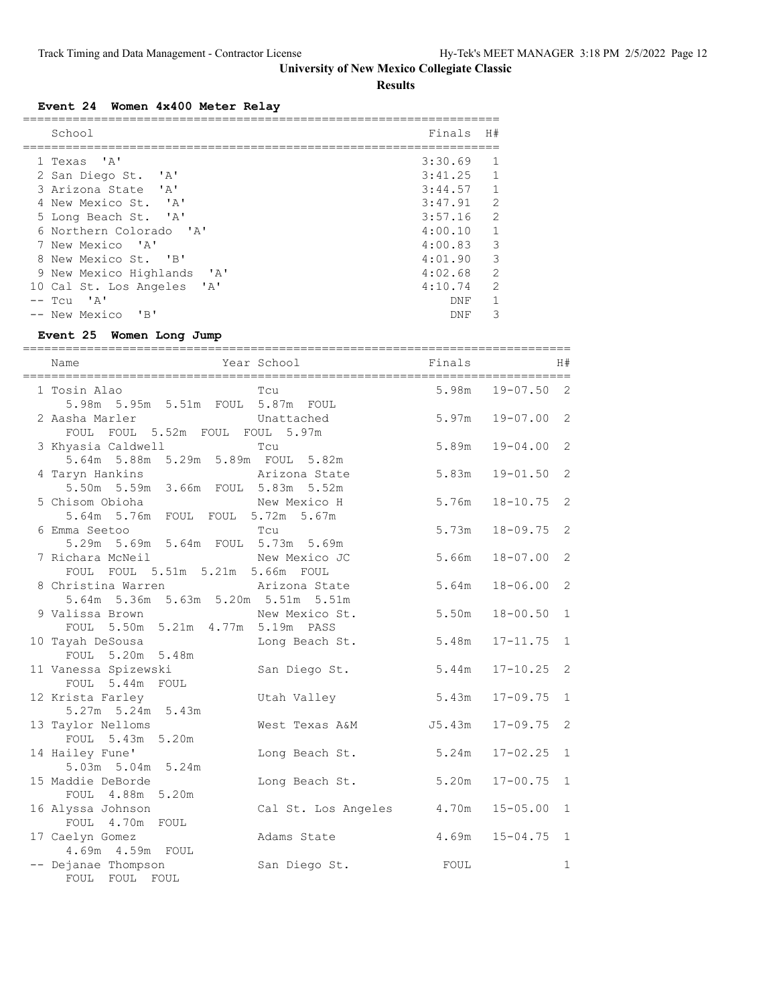**Results**

**Event 24 Women 4x400 Meter Relay**

|   | School                                                         | Finals  | H#            |
|---|----------------------------------------------------------------|---------|---------------|
|   |                                                                |         |               |
|   | 1 Texas 'A'                                                    | 3:30.69 |               |
|   | 2 San Diego St.<br>$\mathsf{A}$                                | 3:41.25 |               |
|   | $\mathsf{I} \wedge \mathsf{I}$<br>3 Arizona State              | 3:44.57 | $\mathbf{1}$  |
|   | New Mexico St. 'A'                                             | 3:47.91 | $\mathcal{L}$ |
|   | 5 Long Beach St. 'A'                                           | 3:57.16 | $\mathcal{L}$ |
| 6 | Northern Colorado 'A'                                          | 4:00.10 |               |
|   | 7 New Mexico 'A'                                               | 4:00.83 | 3             |
|   | 8 New Mexico St. 'B'                                           | 4:01.90 | 3             |
|   | 9 New Mexico Highlands 'A'                                     | 4:02.68 | $\mathcal{L}$ |
|   | $^{\prime}$ $\mathsf{A}$ $^{\prime}$<br>10 Cal St. Los Angeles | 4:10.74 | $\mathcal{L}$ |
|   | $^{\prime}$ A $^{\prime}$<br>-- Tcu                            | DNF     |               |
|   | $'$ B $'$<br>-- New Mexico                                     | DNF     | 3             |

**Event 25 Women Long Jump**

| Name                                                                                                                                                                      | Year School Finals        |        |                | H #            |
|---------------------------------------------------------------------------------------------------------------------------------------------------------------------------|---------------------------|--------|----------------|----------------|
| <b>Transfer Transfer Transfer Transfer Transfer Transfer Transfer Transfer Transfer Transfer Transfer Transfer T</b><br>1 Tosin Alao<br>5.98m 5.95m 5.51m FOUL 5.87m FOUL |                           | 5.98m  | $19 - 07.50$ 2 |                |
| 2 Aasha Marler Controller Unattached<br>FOUL FOUL 5.52m FOUL FOUL 5.97m                                                                                                   |                           | 5.97m  | $19 - 07.00$ 2 |                |
| 3 Khyasia Caldwell<br>5.64m 5.88m 5.29m 5.89m FOUL 5.82m                                                                                                                  | Tcu                       | 5.89m  | $19 - 04.00$ 2 |                |
| 4 Taryn Hankins<br>5.50m 5.59m 3.66m FOUL 5.83m 5.52m                                                                                                                     |                           | 5.83m  | $19 - 01.50$ 2 |                |
| 5 Chisom Obioha Mew Mexico H<br>5.64m 5.76m FOUL FOUL 5.72m 5.67m                                                                                                         |                           | 5.76m  | $18 - 10.75$ 2 |                |
| 6 Emma Seetoo Tcu<br>5.29m 5.69m 5.64m FOUL 5.73m 5.69m                                                                                                                   |                           | 5.73m  | $18 - 09.75$   | $\overline{2}$ |
| 7 Richara McNeil<br>FOUL FOUL 5.51m 5.21m 5.66m FOUL                                                                                                                      | New Mexico JC             | 5.66m  | $18 - 07.00$ 2 |                |
| 8 Christina Warren Marizona State<br>5.64m 5.36m 5.63m 5.20m 5.51m 5.51m                                                                                                  |                           | 5.64m  | $18 - 06.00$ 2 |                |
| 9 Valissa Brown<br>FOUL 5.50m 5.21m 4.77m 5.19m PASS                                                                                                                      | New Mexico St.            | 5.50m  | $18 - 00.50$ 1 |                |
| 10 Tayah DeSousa<br>FOUL 5.20m 5.48m                                                                                                                                      | Long Beach St.            | 5.48m  | $17 - 11.75$ 1 |                |
| 11 Vanessa Spizewski<br>FOUL 5.44m FOUL                                                                                                                                   | San Diego St.             | 5.44m  | $17 - 10.25$ 2 |                |
| 12 Krista Farley<br>5.27m 5.24m 5.43m                                                                                                                                     | Utah Valley               | 5.43m  | $17 - 09.75$   | $\overline{1}$ |
| 13 Taylor Nelloms<br>FOUL 5.43m 5.20m                                                                                                                                     | West Texas A&M            | J5.43m | $17 - 09.75$   | 2              |
| 14 Hailey Fune'<br>5.03m 5.04m 5.24m                                                                                                                                      | Long Beach St.            | 5.24m  | $17 - 02.25$   | $\mathbf{1}$   |
| 15 Maddie DeBorde<br>FOUL 4.88m 5.20m                                                                                                                                     | Long Beach St.            | 5.20m  | $17 - 00.75$   | $\mathbf{1}$   |
| 16 Alyssa Johnson<br>FOUL 4.70m FOUL                                                                                                                                      | Cal St. Los Angeles 4.70m |        | $15 - 05.00$   | $\mathbf{1}$   |
| 17 Caelyn Gomez<br>4.69m  4.59m  FOUL                                                                                                                                     | Adams State 4.69m         |        | $15 - 04.75$ 1 |                |
| -- Dejanae Thompson San Diego St. FOUL<br>FOUL FOUL FOUL                                                                                                                  |                           |        |                | $\mathbf{1}$   |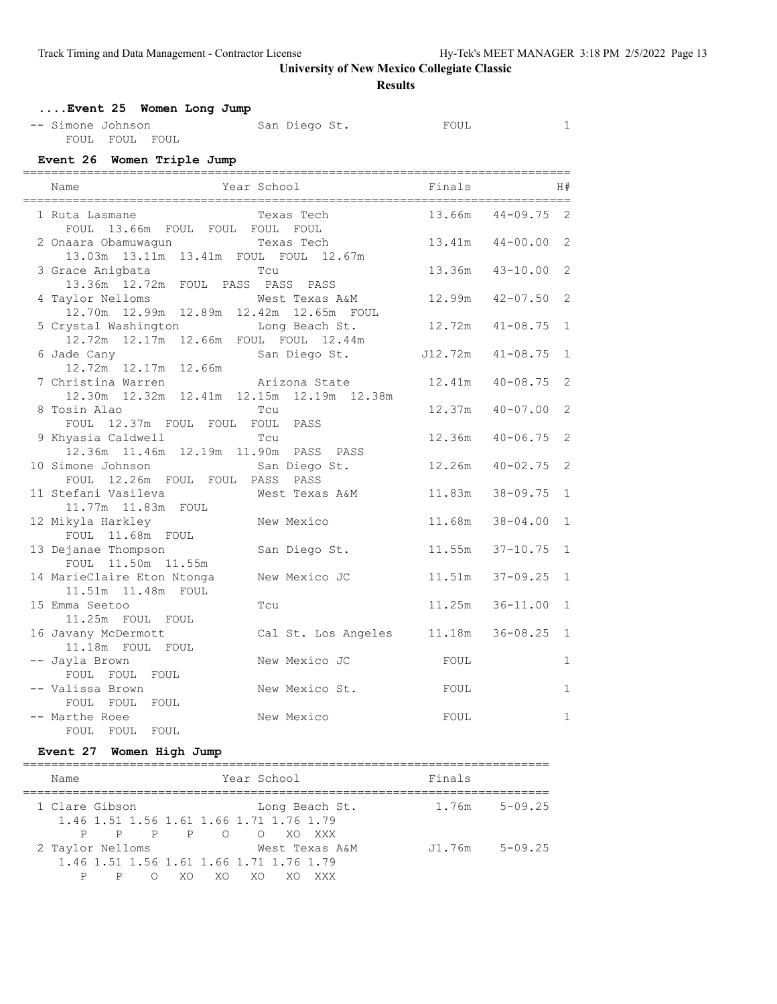**Results**

| Event 25 Women Long Jump<br>-- Simone Johnson<br>FOUL FOUL FOUL      | San Diego St.         | FOUL    |              | $\mathbf{1}$   |
|----------------------------------------------------------------------|-----------------------|---------|--------------|----------------|
| Event 26 Women Triple Jump                                           |                       |         |              |                |
| Year School<br>Name                                                  |                       | Finals  |              | H#             |
| 1 Ruta Lasmane<br>FOUL 13.66m FOUL FOUL FOUL FOUL                    | Texas Tech            | 13.66m  | $44 - 09.75$ | 2              |
| 2 Onaara Obamuwaqun<br>13.03m  13.11m  13.41m  FOUL  FOUL  12.67m    | Texas Tech            | 13.41m  | $44 - 00.00$ | 2              |
| 3 Grace Anigbata<br>Tcu<br>13.36m 12.72m FOUL PASS PASS PASS         |                       | 13.36m  | $43 - 10.00$ | 2              |
| 4 Taylor Nelloms<br>12.70m  12.99m  12.89m  12.42m  12.65m  FOUL     | West Texas A&M        | 12.99m  | $42 - 07.50$ | 2              |
| 5 Crystal Washington<br>12.72m  12.17m  12.66m  FOUL  FOUL  12.44m   | Long Beach St.        | 12.72m  | $41 - 08.75$ | $\mathbf{1}$   |
| 6 Jade Cany<br>12.72m  12.17m  12.66m                                | San Diego St.         | J12.72m | $41 - 08.75$ | $\mathbf{1}$   |
| 7 Christina Warren<br>12.30m  12.32m  12.41m  12.15m  12.19m  12.38m | Arizona State         | 12.41m  | $40 - 08.75$ | $\mathfrak{D}$ |
| 8 Tosin Alao<br>Tcu<br>FOUL 12.37m FOUL FOUL FOUL                    | PASS                  | 12.37m  | $40 - 07.00$ | 2              |
| 9 Khyasia Caldwell<br>Tcu<br>12.36m  11.46m  12.19m  11.90m          | PASS PASS             | 12.36m  | $40 - 06.75$ | 2              |
| 10 Simone Johnson<br>FOUL 12.26m FOUL FOUL PASS                      | San Diego St.<br>PASS | 12.26m  | $40 - 02.75$ | 2              |
| 11 Stefani Vasileva<br>11.77m 11.83m FOUL                            | West Texas A&M        | 11.83m  | $38 - 09.75$ | 1              |
| 12 Mikyla Harkley<br>FOUL 11.68m FOUL                                | New Mexico            | 11.68m  | $38 - 04.00$ | 1              |
| 13 Dejanae Thompson<br>FOUL 11.50m 11.55m                            | San Diego St.         | 11.55m  | $37 - 10.75$ | $\mathbf 1$    |
| 14 MarieClaire Eton Ntonga<br>11.51m  11.48m  FOUL                   | New Mexico JC         | 11.51m  | $37 - 09.25$ | $\mathbf{1}$   |
| 15 Emma Seetoo<br>Tcu<br>11.25m FOUL FOUL                            |                       | 11.25m  | $36 - 11.00$ | $\mathbf{1}$   |
| 16 Javany McDermott<br>11.18m FOUL FOUL                              | Cal St. Los Angeles   | 11.18m  | $36 - 08.25$ | 1              |
| -- Jayla Brown<br>FOUL FOUL FOUL                                     | New Mexico JC         | FOUL    |              | $\mathbf{1}$   |
| -- Valissa Brown<br>FOUL FOUL FOUL                                   | New Mexico St.        | FOUL    |              | 1              |
| -- Marthe Roee<br>FOUL FOUL<br>FOUL                                  | New Mexico            | FOUL    |              | 1              |

## **Event 27 Women High Jump**

| Name             | Year School                                                             | Finals                |
|------------------|-------------------------------------------------------------------------|-----------------------|
| 1 Clare Gibson   | Long Beach St.<br>1.46 1.51 1.56 1.61 1.66 1.71 1.76 1.79               | $1.76m$ $5-09.25$     |
| 2 Taylor Nelloms | PPP O O XO XXX<br>West Texas A&M                                        | J1.76m<br>$5 - 09.25$ |
| Ρ                | 1.46 1.51 1.56 1.61 1.66 1.71 1.76 1.79<br>XO.<br>XO<br>$X \cap$<br>XXX |                       |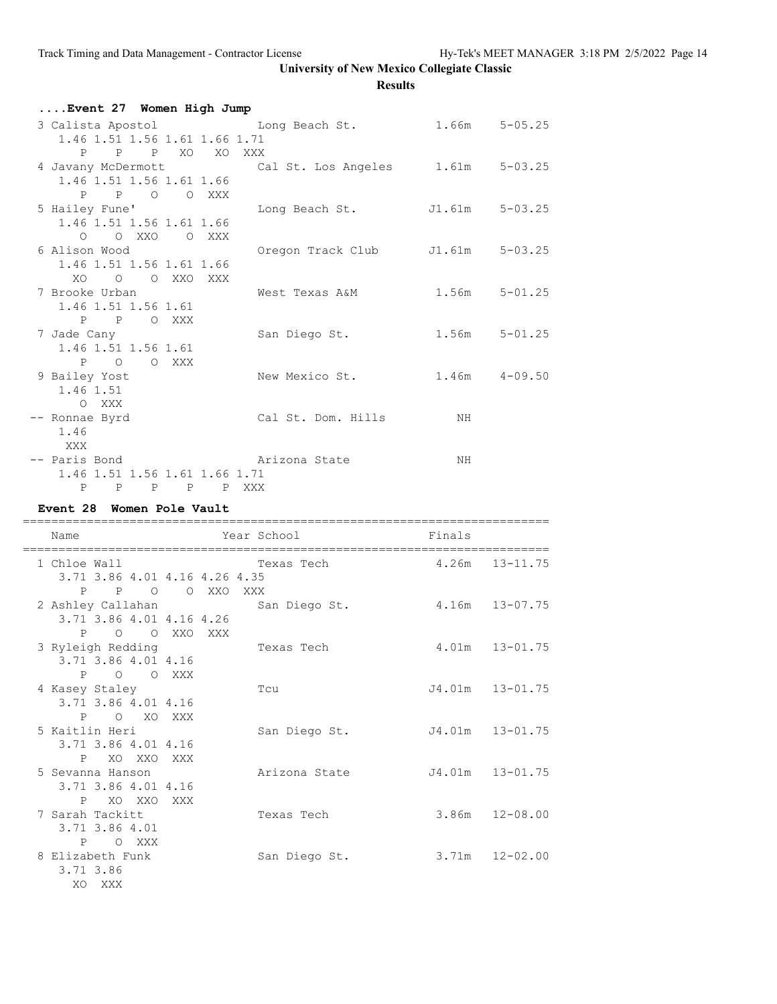## **Results**

| Event 27 Women High Jump                           |                                  |        |                    |  |  |  |  |
|----------------------------------------------------|----------------------------------|--------|--------------------|--|--|--|--|
| 3 Calista Apostol<br>1.46 1.51 1.56 1.61 1.66 1.71 | Long Beach St. 1.66m 5-05.25     |        |                    |  |  |  |  |
| P P P XO XO XXX                                    |                                  |        |                    |  |  |  |  |
| 4 Javany McDermott                                 | Cal St. Los Angeles              |        | $1.61m$ $5-03.25$  |  |  |  |  |
| 1.46 1.51 1.56 1.61 1.66<br>P P O O XXX            |                                  |        |                    |  |  |  |  |
| 5 Hailey Fune'                                     | Long Beach St. J1.61m 5-03.25    |        |                    |  |  |  |  |
| 1.46 1.51 1.56 1.61 1.66<br>O O XXO O XXX          |                                  |        |                    |  |  |  |  |
| 6 Alison Wood                                      | Oregon Track Club J1.61m 5-03.25 |        |                    |  |  |  |  |
| 1.46 1.51 1.56 1.61 1.66<br>XO O O XXO XXX         |                                  |        |                    |  |  |  |  |
| 7 Brooke Urban                                     | West Texas A&M                   |        | $1.56m$ $5-01.25$  |  |  |  |  |
| 1.46 1.51 1.56 1.61<br>P P O XXX                   |                                  |        |                    |  |  |  |  |
| 7 Jade Cany                                        | San Diego St.                    |        | $1.56m$ $5-01.25$  |  |  |  |  |
| 1.46 1.51 1.56 1.61<br>P O O XXX                   |                                  |        |                    |  |  |  |  |
| 9 Bailey Yost                                      | New Mexico St.                   |        | $1.46m$ $4-09.50$  |  |  |  |  |
| 1.46 1.51<br>O XXX                                 |                                  |        |                    |  |  |  |  |
| -- Ronnae Byrd                                     | Cal St. Dom. Hills               | NH NH  |                    |  |  |  |  |
| 1.46<br>XXX                                        |                                  |        |                    |  |  |  |  |
| -- Paris Bond                                      | Arizona State                    | NH     |                    |  |  |  |  |
| 1.46 1.51 1.56 1.61 1.66 1.71                      |                                  |        |                    |  |  |  |  |
| $P$ $P$                                            | P P P XXX                        |        |                    |  |  |  |  |
|                                                    | Event 28 Women Pole Vault        |        |                    |  |  |  |  |
| Name                                               | Year School                      | Finals |                    |  |  |  |  |
| 1 Chloe Wall                                       | Texas Tech                       |        | $4.26m$ $13-11.75$ |  |  |  |  |
| 3.71 3.86 4.01 4.16 4.26 4.35                      |                                  |        |                    |  |  |  |  |
| P<br>P<br>$\circ$                                  | O XXO XXX                        |        |                    |  |  |  |  |

|                          | $\triangle$ $\triangle$ | $\sqrt{222}$  |                    |                    |
|--------------------------|-------------------------|---------------|--------------------|--------------------|
| 2 Ashley Callahan        |                         | San Diego St. | $4.16m$ $13-07.75$ |                    |
| 3.71 3.86 4.01 4.16 4.26 |                         |               |                    |                    |
| P O O XXO XXX            |                         |               |                    |                    |
| 3 Ryleigh Redding        |                         | Texas Tech    |                    | 4.01m  13-01.75    |
| 3.71 3.86 4.01 4.16      |                         |               |                    |                    |
| P O O XXX                |                         |               |                    |                    |
| 4 Kasey Staley           |                         | Tcu           |                    | J4.01m  13-01.75   |
| 3.71 3.86 4.01 4.16      |                         |               |                    |                    |
| P O XO XXX               |                         |               |                    |                    |
| 5 Kaitlin Heri           |                         | San Diego St. |                    | J4.01m  13-01.75   |
| 3.71 3.86 4.01 4.16      |                         |               |                    |                    |
| P XO XXO XXX             |                         |               |                    |                    |
| 5 Sevanna Hanson         |                         | Arizona State | J4.01m 13-01.75    |                    |
| 3.71 3.86 4.01 4.16      |                         |               |                    |                    |
| P XO XXO XXX             |                         |               |                    |                    |
| 7 Sarah Tackitt          |                         | Texas Tech    |                    | $3.86m$ $12-08.00$ |
| 3.71 3.86 4.01           |                         |               |                    |                    |
| P O XXX                  |                         |               |                    |                    |
| 8 Elizabeth Funk         |                         | San Diego St. |                    | $3.71m$ $12-02.00$ |
| 3.71 3.86                |                         |               |                    |                    |
| XO XXX                   |                         |               |                    |                    |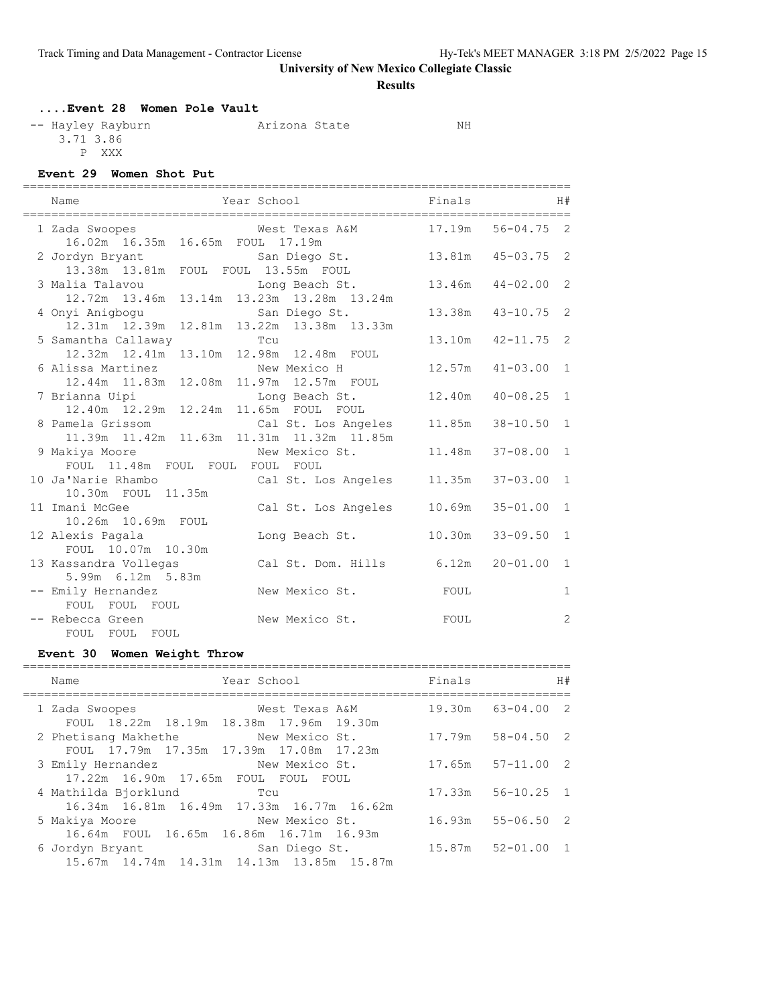**Results**

## **....Event 28 Women Pole Vault** -- Hayley Rayburn Manizona State NH

3.71 3.86

P XXX

### **Event 29 Women Shot Put** ============================================================================= Name  $Year School$  Finals H# ============================================================================= 1 Zada Swoopes West Texas A&M 17.19m 56-04.75 2 16.02m 16.35m 16.65m FOUL 17.19m 2 Jordyn Bryant San Diego St. 13.81m 45-03.75 2 13.38m 13.81m FOUL FOUL 13.55m FOUL 3 Malia Talavou Long Beach St. 13.46m 44-02.00 2 12.72m 13.46m 13.14m 13.23m 13.28m 13.24m 4 Onyi Anigbogu San Diego St. 13.38m 43-10.75 2 12.31m 12.39m 12.81m 13.22m 13.38m 13.33m 5 Samantha Callaway Tcu 13.10m 42-11.75 2 12.32m 12.41m 13.10m 12.98m 12.48m FOUL 6 Alissa Martinez New Mexico H 12.57m 41-03.00 1 12.44m 11.83m 12.08m 11.97m 12.57m FOUL 7 Brianna Uipi Long Beach St. 12.40m 40-08.25 1 12.40m 12.29m 12.24m 11.65m FOUL FOUL 8 Pamela Grissom Cal St. Los Angeles 11.85m 38-10.50 1 11.39m 11.42m 11.63m 11.31m 11.32m 11.85m 9 Makiya Moore New Mexico St. 11.48m 37-08.00 1 FOUL 11.48m FOUL FOUL FOUL FOUL لومات المسموم العادة<br>Cal St. Los Angeles 11.35m 37-03.00 1 a'Narie *Niames*<br>10.30m FOUL 11.35m 11 Imani McGee Cal St. Los Angeles 10.69m 35-01.00 1 10.26m 10.69m FOUL 12 Alexis Pagala Long Beach St. 10.30m 33-09.50 1 FOUL 10.07m 10.30m 13 Kassandra Vollegas Cal St. Dom. Hills 6.12m 20-01.00 1 5.99m 6.12m 5.83m New Mexico St. FOUL 1 FOUL FOUL FOUL -- Rebecca Green 2

### **Event 30 Women Weight Throw**

FOUL FOUL FOUL

| Name                                                                    | Year School                                                                  | Finals |                       | H# |
|-------------------------------------------------------------------------|------------------------------------------------------------------------------|--------|-----------------------|----|
| 1 Zada Swoopes                                                          | West Texas A&M<br>FOUL 18.22m 18.19m 18.38m 17.96m 19.30m                    |        | 19.30m 63-04.00 2     |    |
| 2 Phetisang Makhethe New Mexico St.                                     | FOUL 17.79m 17.35m 17.39m 17.08m 17.23m                                      |        | 17.79m 58-04.50 2     |    |
| 3 Emily Hernandez New Mexico St.<br>17.22m 16.90m 17.65m FOUL FOUL FOUL |                                                                              |        | 17.65m 57-11.00 2     |    |
| 4 Mathilda Bjorklund                                                    | Tcu<br>16.34m 16.81m 16.49m 17.33m 16.77m 16.62m                             |        | $17.33m$ $56-10.25$ 1 |    |
| 5 Makiya Moore                                                          | New Mexico St.<br>16.64m FOUL 16.65m 16.86m 16.71m 16.93m                    |        | 16.93m 55-06.50 2     |    |
| 6 Jordyn Bryant                                                         | San Diego St. 15.87m 52-01.00 1<br>15.67m 14.74m 14.31m 14.13m 13.85m 15.87m |        |                       |    |
|                                                                         |                                                                              |        |                       |    |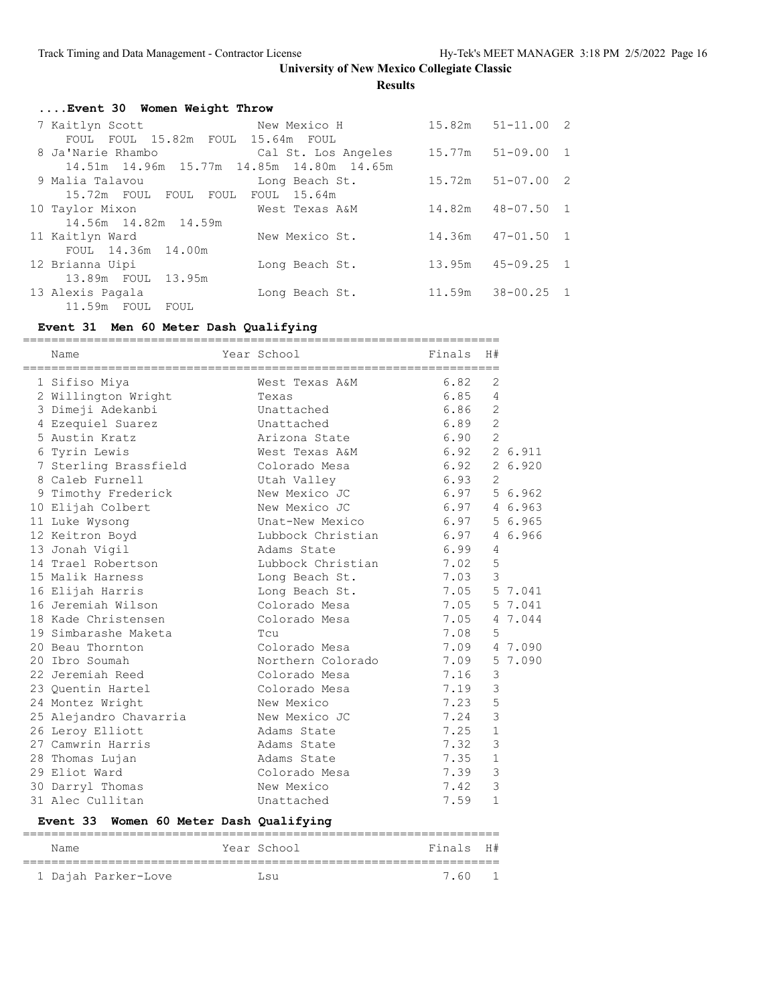| Event 30 Women Weight Throw               |                       |  |
|-------------------------------------------|-----------------------|--|
| New Mexico H<br>7 Kaitlyn Scott           | $15.82m$ $51-11.00$ 2 |  |
| FOUL FOUL 15.82m FOUL 15.64m FOUL         |                       |  |
| 8 Ja'Narie Rhambo<br>Cal St. Los Angeles  | 15.77m 51-09.00 1     |  |
| 14.51m 14.96m 15.77m 14.85m 14.80m 14.65m |                       |  |
| 9 Malia Talavou<br>Long Beach St.         | $15.72m$ $51-07.00$ 2 |  |
| 15.72m FOUL FOUL FOUL FOUL 15.64m         |                       |  |
| 10 Taylor Mixon<br>West Texas A&M         | $14.82m$ $48-07.50$ 1 |  |
| 14.56m 14.82m 14.59m                      |                       |  |
| 11 Kaitlyn Ward<br>New Mexico St.         | 14.36m 47-01.50 1     |  |
| FOUL 14.36m 14.00m                        |                       |  |
| 12 Brianna Uipi<br>Long Beach St.         | $13.95m$ $45-09.25$ 1 |  |
| 13.89m FOUL 13.95m                        |                       |  |
| 13 Alexis Pagala<br>Long Beach St.        | 11.59m 38-00.25 1     |  |
| 11.59m FOUL FOUL                          |                       |  |

## **Event 31 Men 60 Meter Dash Qualifying**

| Name                   | Year School       | Finals | H#             |              |
|------------------------|-------------------|--------|----------------|--------------|
| 1 Sifiso Miya          | West Texas A&M    | 6.82   | $\overline{2}$ |              |
| 2 Willington Wright    | Texas             | 6.85   | $\overline{4}$ |              |
| 3 Dimeji Adekanbi      | Unattached        | 6.86   | $\mathbf{2}$   |              |
| 4 Ezequiel Suarez      | Unattached        | 6.89   | $\overline{c}$ |              |
| 5 Austin Kratz         | Arizona State     | 6.90   | $\overline{2}$ |              |
| 6 Tyrin Lewis          | West Texas A&M    | 6.92   |                | 2 6.911      |
| 7 Sterling Brassfield  | Colorado Mesa     | 6.92   |                | 2 6.920      |
| 8 Caleb Furnell        | Utah Valley       | 6.93   | $\overline{2}$ |              |
| 9 Timothy Frederick    | New Mexico JC     | 6.97   |                | 5 6.962      |
| 10 Elijah Colbert      | New Mexico JC     | 6.97   |                | 4 6.963      |
| 11 Luke Wysong         | Unat-New Mexico   | 6.97   |                | 5 6.965      |
| 12 Keitron Boyd        | Lubbock Christian | 6.97   |                | 4 6.966      |
| 13 Jonah Vigil         | Adams State       | 6.99   | $\overline{4}$ |              |
| 14 Trael Robertson     | Lubbock Christian | 7.02   | 5              |              |
| 15 Malik Harness       | Long Beach St.    | 7.03   | 3              |              |
| 16 Elijah Harris       | Long Beach St.    |        |                | 7.05 5 7.041 |
| 16 Jeremiah Wilson     | Colorado Mesa     |        |                | 7.05 57.041  |
| 18 Kade Christensen    | Colorado Mesa     | 7.05   |                | 4 7.044      |
| 19 Simbarashe Maketa   | TCU               | 7.08   | 5              |              |
| 20 Beau Thornton       | Colorado Mesa     |        |                | 7.09 4 7.090 |
| 20 Ibro Soumah         | Northern Colorado | 7.09   |                | 5 7.090      |
| 22 Jeremiah Reed       | Colorado Mesa     | 7.16   | 3              |              |
| 23 Ouentin Hartel      | Colorado Mesa     | 7.19   | $\mathcal{S}$  |              |
| 24 Montez Wright       | New Mexico        | 7.23   | 5              |              |
| 25 Alejandro Chavarria | New Mexico JC     | 7.24   | 3              |              |
| 26 Leroy Elliott       | Adams State       | 7.25   | $\mathbf{1}$   |              |
| 27 Camwrin Harris      | Adams State       | 7.32   | $\mathcal{E}$  |              |
| 28 Thomas Lujan        | Adams State       | 7.35   | $\mathbf{1}$   |              |
| 29 Eliot Ward          | Colorado Mesa     | 7.39   | 3              |              |
| 30 Darryl Thomas       | New Mexico        | 7.42   | 3              |              |
| 31 Alec Cullitan       | Unattached        | 7.59   | $\mathbf{1}$   |              |

### **Event 33 Women 60 Meter Dash Qualifying**

| Name |                     | Year School | Finals H# |  |
|------|---------------------|-------------|-----------|--|
|      | 1 Dajah Parker-Love | Lsu         | 760       |  |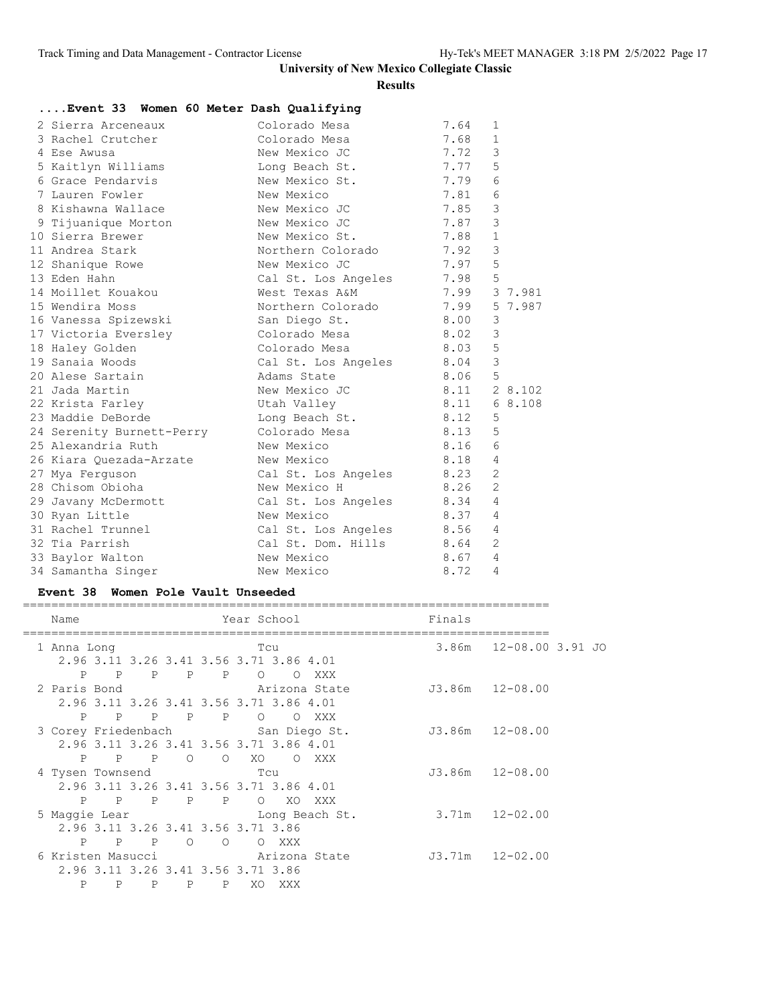**Results**

| Event 33 Women 60 Meter Dash Qualifying                                       |                          |      |                |
|-------------------------------------------------------------------------------|--------------------------|------|----------------|
| 2 Sierra Arceneaux                                                            | Colorado Mesa            | 7.64 | 1              |
| 3 Rachel Crutcher                                                             | Colorado Mesa            | 7.68 | 1              |
| 4 Ese Awusa                                                                   | New Mexico JC            | 7.72 | 3              |
| 5 Kaitlyn Williams                                                            | Long Beach St.           | 7.77 | 5              |
| 6 Grace Pendarvis                                                             | New Mexico St.           | 7.79 | 6              |
| 7 Lauren Fowler                                                               | New Mexico               | 7.81 | 6              |
| 8 Kishawna Wallace                                                            | New Mexico JC            | 7.85 | 3              |
| 9 Tijuanique Morton                                                           | New Mexico JC            | 7.87 | 3              |
| 10 Sierra Brewer                                                              | New Mexico St.           | 7.88 | $\mathbf{1}$   |
| 11 Andrea Stark                                                               | Northern Colorado        | 7.92 | 3              |
| 12 Shanique Rowe                                                              | New Mexico JC            | 7.97 | 5              |
| 13 Eden Hahn                                                                  | Cal St. Los Angeles      | 7.98 | 5              |
| 14 Moillet Kouakou                                                            | West Texas A&M           |      | 7.99 3 7.981   |
| 15 Wendira Moss                                                               | Northern Colorado        |      | 7.99 5 7.987   |
| 16 Vanessa Spizewski                 San Diego St.                            |                          | 8.00 | 3              |
| 17 Victoria Eversley                   Colorado Mesa                     8.02 |                          |      | 3              |
| 18 Haley Golden                                                               | 8.03<br>Colorado Mesa    |      | 5              |
| 19 Sanaia Woods                                                               | Cal St. Los Angeles 8.04 |      | 3              |
| 20 Alese Sartain                                                              | Adams State              | 8.06 | 5              |
| 21 Jada Martin                                                                | New Mexico JC 8.11       |      | 2 8.102        |
| 22 Krista Farley                                                              | Utah Valley              | 8.11 | 68.108         |
| 23 Maddie DeBorde                                                             | Long Beach St.<br>8.12   |      | 5              |
| 24 Serenity Burnett-Perry                                                     | Colorado Mesa            | 8.13 | 5              |
| 25 Alexandria Ruth                                                            | New Mexico               | 8.16 | 6              |
| 26 Kiara Quezada-Arzate                                                       | New Mexico               | 8.18 | $\overline{4}$ |
| 27 Mya Ferguson                                                               | Cal St. Los Angeles 8.23 |      | 2              |
| 28 Chisom Obioha                                                              | New Mexico H             | 8.26 | $\overline{2}$ |
| 29 Javany McDermott                                                           | Cal St. Los Angeles      | 8.34 | 4              |
| 30 Ryan Little                                                                | New Mexico               | 8.37 | $\overline{4}$ |
| 31 Rachel Trunnel Cal St. Los Angeles 8.56                                    |                          |      | $\overline{4}$ |
| 32 Tia Parrish                                                                | Cal St. Dom. Hills 8.64  |      | $\overline{2}$ |
| 33 Baylor Walton                                                              | New Mexico               | 8.67 | 4              |
| 34 Samantha Singer                                                            | New Mexico               | 8.72 | 4              |

### **Event 38 Women Pole Vault Unseeded**

## ========================================================================== Name **Year School** Finals ========================================================================== 3.86m 12-08.00 3.91 JO 2.96 3.11 3.26 3.41 3.56 3.71 3.86 4.01 P P P P P O O XXX 2 Paris Bond Arizona State J3.86m 12-08.00 2.96 3.11 3.26 3.41 3.56 3.71 3.86 4.01 P P P P P O O XXX 3 Corey Friedenbach San Diego St. J3.86m 12-08.00 2.96 3.11 3.26 3.41 3.56 3.71 3.86 4.01 P P P O O XO O XXX<br>4 Tysen Townsend Tcu Tcu J3.86m 12-08.00 2.96 3.11 3.26 3.41 3.56 3.71 3.86 4.01 P P P P P O XO XXX 5 Maggie Lear Long Beach St. 3.71m 12-02.00 2.96 3.11 3.26 3.41 3.56 3.71 3.86 P P P O O O XXX 6 Kristen Masucci Arizona State J3.71m 12-02.00 2.96 3.11 3.26 3.41 3.56 3.71 3.86 P P P P P XO XXX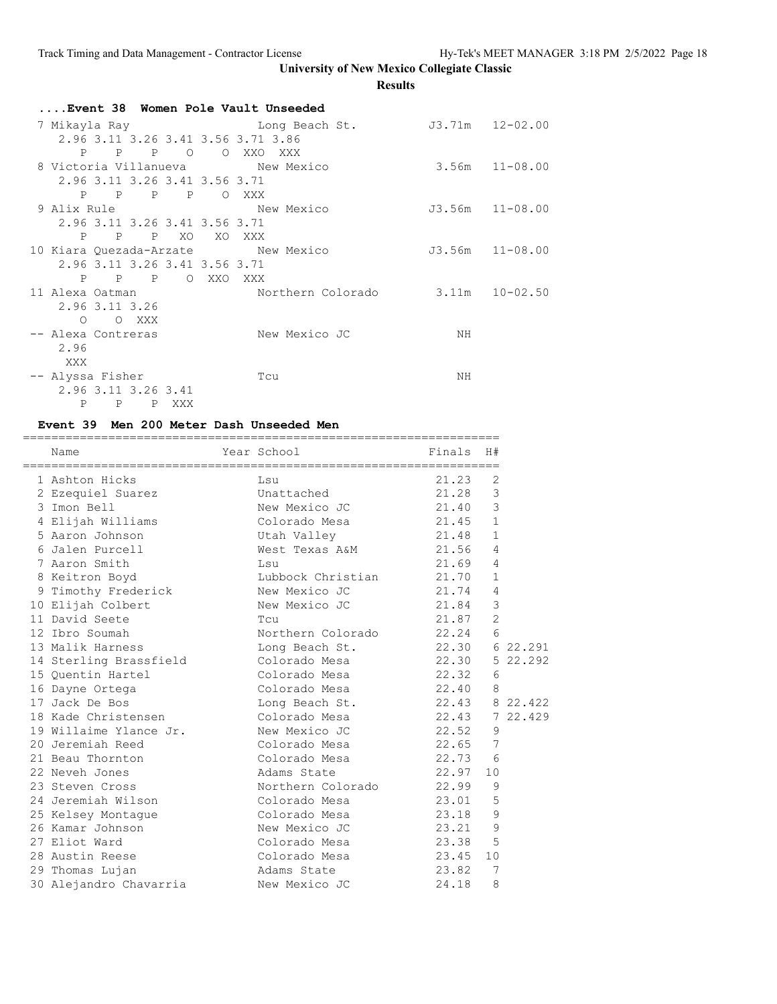## **Results**

| Event 38 Women Pole Vault Unseeded |                |                     |       |                               |                                    |                                                                      |    |                     |
|------------------------------------|----------------|---------------------|-------|-------------------------------|------------------------------------|----------------------------------------------------------------------|----|---------------------|
|                                    |                |                     |       |                               |                                    | 7 Mikayla Ray               Long Beach St.         J3.71m   12-02.00 |    |                     |
|                                    |                |                     |       |                               | 2.96 3.11 3.26 3.41 3.56 3.71 3.86 |                                                                      |    |                     |
|                                    |                |                     |       |                               | P P P O O XXO XXX                  |                                                                      |    |                     |
|                                    |                |                     |       |                               |                                    | 8 Victoria Villanueva Mew Mexico                                     |    | $3.56m$ $11-08.00$  |
|                                    |                |                     |       | 2.96 3.11 3.26 3.41 3.56 3.71 |                                    |                                                                      |    |                     |
|                                    |                |                     |       | P P P P O XXX                 |                                    |                                                                      |    |                     |
|                                    |                |                     |       |                               |                                    | 9 Alix Rule New Mexico                                               |    | $J3.56m$ $11-08.00$ |
|                                    |                |                     |       | 2.96 3.11 3.26 3.41 3.56 3.71 |                                    |                                                                      |    |                     |
|                                    |                |                     |       | P P P XO XO XXX               |                                    |                                                                      |    |                     |
|                                    |                |                     |       |                               |                                    | 10 Kiara Quezada-Arzate New Mexico                                   |    | $J3.56m$ $11-08.00$ |
|                                    |                |                     |       | 2.96 3.11 3.26 3.41 3.56 3.71 |                                    |                                                                      |    |                     |
|                                    |                |                     |       | P P P O XXO XXX               |                                    |                                                                      |    |                     |
| 11 Alexa Oatman                    |                |                     |       |                               |                                    | Northern Colorado 3.11m  10-02.50                                    |    |                     |
|                                    | 2.96 3.11 3.26 |                     |       |                               |                                    |                                                                      |    |                     |
|                                    | O O XXX        |                     |       |                               |                                    |                                                                      |    |                     |
| -- Alexa Contreras                 |                |                     |       |                               |                                    | New Mexico JC                                                        | ΝH |                     |
| 2.96                               |                |                     |       |                               |                                    |                                                                      |    |                     |
| XXX                                |                |                     |       |                               |                                    |                                                                      |    |                     |
| -- Alyssa Fisher                   |                |                     |       |                               | Tcu                                |                                                                      | ΝH |                     |
|                                    |                | 2.96 3.11 3.26 3.41 |       |                               |                                    |                                                                      |    |                     |
| $\mathbf{P}$                       | P              |                     | P XXX |                               |                                    |                                                                      |    |                     |

### **Event 39 Men 200 Meter Dash Unseeded Men**

| Name                                            |                               |                |                |  |
|-------------------------------------------------|-------------------------------|----------------|----------------|--|
|                                                 |                               |                |                |  |
| 1 Ashton Hicks                                  | Lsu                           | 21.23          | 2              |  |
| 2 Ezequiel Suarez                               | Unattached                    | 21.28          | $\mathcal{S}$  |  |
| 3 Imon Bell                                     | New Mexico JC                 | 21.40          | $\mathcal{S}$  |  |
| 4 Elijah Williams                               | Colorado Mesa                 | 21.45          | $\mathbf{1}$   |  |
| 5 Aaron Johnson                                 | Utah Valley                   | 21.48          | $\mathbf{1}$   |  |
| 6 Jalen Purcell                                 | West Texas A&M                | 21.56          | $\overline{4}$ |  |
| 7 Aaron Smith                                   | Lsu                           | 21.69 4        |                |  |
| 8 Keitron Boyd                                  | Lubbock Christian 21.70 1     |                |                |  |
| 9 Timothy Frederick                             | New Mexico JC                 | 21.74 4        |                |  |
| 10 Elijah Colbert                               | New Mexico JC                 | 21.84          | $\mathcal{S}$  |  |
| 11 David Seete                                  | Tcu                           | 21.87          | $\overline{c}$ |  |
| 12 Ibro Soumah                                  | Northern Colorado             | 22.24          | 6              |  |
| 13 Malik Harness                                | Long Beach St.                | 22.30 6 22.291 |                |  |
| 14 Sterling Brassfield Colorado Mesa 22.30      |                               |                | 5 22.292       |  |
| 15 Ouentin Hartel                               | Colorado Mesa                 | 22.32 6        |                |  |
| 16 Dayne Ortega                                 | Colorado Mesa                 | 22.40 8        |                |  |
| 17 Jack De Bos                                  | Long Beach St. 22.43 8 22.422 |                |                |  |
| 18 Kade Christensen               Colorado Mesa |                               | 22.43          | 7 22.429       |  |
| 19 Willaime Ylance Jr. New Mexico JC            |                               | 22.52          | 9              |  |
| 20 Jeremiah Reed                                | Colorado Mesa                 | 22.65          | 7              |  |
| 21 Beau Thornton                                | Colorado Mesa 22.73           |                | 6              |  |
| 22 Neveh Jones                                  | Adams State                   | 22.97          | 10             |  |
| 23 Steven Cross                                 | Northern Colorado             | 22.99 9        |                |  |
| 24 Jeremiah Wilson                              | Colorado Mesa                 | 23.01          | 5              |  |
| 25 Kelsey Montaque                              | Colorado Mesa                 | 23.18          | 9              |  |
| 26 Kamar Johnson                                | New Mexico JC                 | 23.21          | 9              |  |
| 27 Eliot Ward                                   | Colorado Mesa                 | 23.38 5        |                |  |
| 28 Austin Reese                                 | Colorado Mesa                 | 23.45          | 10             |  |
| 29 Thomas Lujan                                 | Adams State                   | 23.82          | 7              |  |
| 30 Alejandro Chavarria                          | New Mexico JC                 | 24.18          | 8              |  |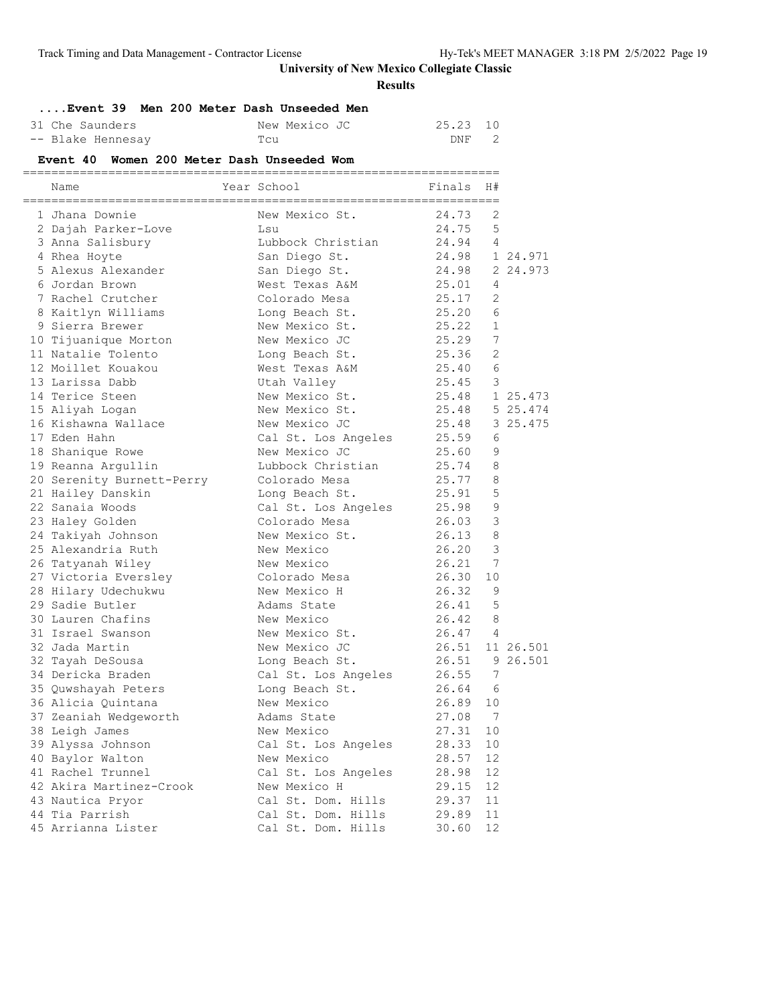**Results**

## **....Event 39 Men 200 Meter Dash Unseeded Men**

| 31 Che Saunders   | New Mexico JC | 25.23 10 |  |
|-------------------|---------------|----------|--|
| -- Blake Hennesay | Tcu           | DNF      |  |

### **Event 40 Women 200 Meter Dash Unseeded Wom**

===================================================================

| Name                      | Year School         | Finals  | H# |           |
|---------------------------|---------------------|---------|----|-----------|
| 1 Jhana Downie            | New Mexico St.      | 24.73   | 2  |           |
| 2 Dajah Parker-Love       | Lsu                 | 24.75   | 5  |           |
| 3 Anna Salisbury          | Lubbock Christian   | 24.94   | 4  |           |
| 4 Rhea Hoyte              | San Diego St.       | 24.98   |    | 1 24.971  |
| 5 Alexus Alexander        | San Diego St.       | 24.98   |    | 2 24.973  |
| 6 Jordan Brown            | West Texas A&M      | 25.01   | 4  |           |
| 7 Rachel Crutcher         | Colorado Mesa       | 25.17   | 2  |           |
| 8 Kaitlyn Williams        | Long Beach St.      | 25.20   | 6  |           |
| 9 Sierra Brewer           | New Mexico St.      | 25.22   | 1  |           |
| 10 Tijuanique Morton      | New Mexico JC       | 25.29   | 7  |           |
| 11 Natalie Tolento        | Long Beach St.      | 25.36   | 2  |           |
| 12 Moillet Kouakou        | West Texas A&M      | 25.40   | 6  |           |
| 13 Larissa Dabb           | Utah Valley         | 25.45   | 3  |           |
| 14 Terice Steen           | New Mexico St.      | 25.48   |    | 1 25.473  |
| 15 Aliyah Logan           | New Mexico St.      | 25.48   |    | 5 25.474  |
| 16 Kishawna Wallace       | New Mexico JC       | 25.48   |    | 3 25.475  |
| 17 Eden Hahn              | Cal St. Los Angeles | 25.59   | 6  |           |
| 18 Shanique Rowe          | New Mexico JC       | 25.60   | 9  |           |
| 19 Reanna Argullin        | Lubbock Christian   | 25.74   | 8  |           |
| 20 Serenity Burnett-Perry | Colorado Mesa       | 25.77   | 8  |           |
| 21 Hailey Danskin         | Long Beach St.      | 25.91   | 5  |           |
| 22 Sanaia Woods           | Cal St. Los Angeles | 25.98   | 9  |           |
| 23 Haley Golden           | Colorado Mesa       | 26.03   | 3  |           |
| 24 Takiyah Johnson        | New Mexico St.      | 26.13   | 8  |           |
| 25 Alexandria Ruth        | New Mexico          | 26.20   | 3  |           |
| 26 Tatyanah Wiley         | New Mexico          | 26.21   | 7  |           |
| 27 Victoria Eversley      | Colorado Mesa       | 26.30   | 10 |           |
| 28 Hilary Udechukwu       | New Mexico H        | 26.32   | 9  |           |
| 29 Sadie Butler           | Adams State         | 26.41   | 5  |           |
| 30 Lauren Chafins         | New Mexico          | 26.42   | 8  |           |
| 31 Israel Swanson         | New Mexico St.      | 26.47   | 4  |           |
| 32 Jada Martin            | New Mexico JC       | 26.51   |    | 11 26.501 |
| 32 Tayah DeSousa          | Long Beach St.      | 26.51   |    | 9 26.501  |
| 34 Dericka Braden         | Cal St. Los Angeles | 26.55   | 7  |           |
| 35 Quwshayah Peters       | Long Beach St.      | 26.64   | 6  |           |
| 36 Alicia Quintana        | New Mexico          | 26.89   | 10 |           |
| 37 Zeaniah Wedgeworth     | Adams State         | 27.08 7 |    |           |
| 38 Leigh James            | New Mexico          | 27.31   | 10 |           |
| 39 Alyssa Johnson         | Cal St. Los Angeles | 28.33   | 10 |           |
| 40 Baylor Walton          | New Mexico          | 28.57   | 12 |           |
| 41 Rachel Trunnel         | Cal St. Los Angeles | 28.98   | 12 |           |
| 42 Akira Martinez-Crook   | New Mexico H        | 29.15   | 12 |           |
| 43 Nautica Pryor          | Cal St. Dom. Hills  | 29.37   | 11 |           |
| 44 Tia Parrish            | Cal St. Dom. Hills  | 29.89   | 11 |           |
| 45 Arrianna Lister        | Cal St. Dom. Hills  | 30.60   | 12 |           |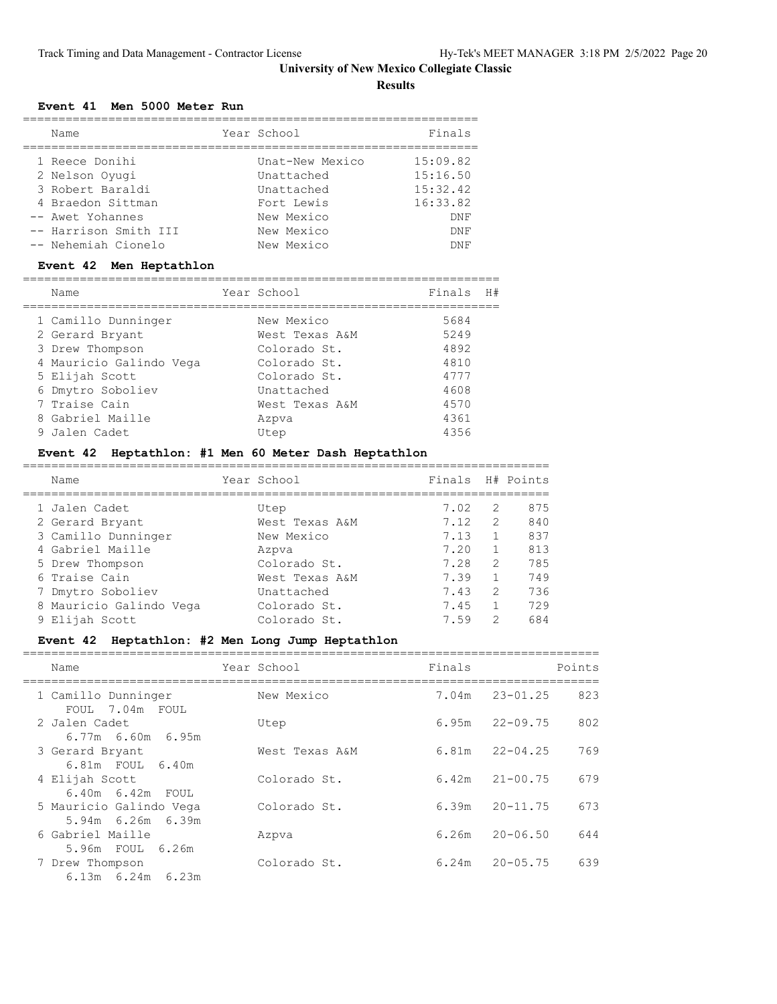==========================================================================

## **University of New Mexico Collegiate Classic**

**Results**

### **Event 41 Men 5000 Meter Run**

| Name                  | Year School     | Finals     |
|-----------------------|-----------------|------------|
|                       |                 |            |
| 1 Reece Donihi        | Unat-New Mexico | 15:09.82   |
| 2 Nelson Oyugi        | Unattached      | 15:16.50   |
| 3 Robert Baraldi      | Unattached      | 15:32.42   |
| 4 Braedon Sittman     | Fort Lewis      | 16:33.82   |
| -- Awet Yohannes      | New Mexico      | <b>DNF</b> |
| -- Harrison Smith III | New Mexico      | <b>DNF</b> |
| -- Nehemiah Cionelo   | New Mexico      | DNF        |

## **Event 42 Men Heptathlon**

|  | Name                    | Year School    | Finals | H# |
|--|-------------------------|----------------|--------|----|
|  | 1 Camillo Dunninger     | New Mexico     | 5684   |    |
|  | 2 Gerard Bryant         | West Texas A&M | 5249   |    |
|  | 3 Drew Thompson         | Colorado St.   | 4892   |    |
|  | 4 Mauricio Galindo Vega | Colorado St.   | 4810   |    |
|  | 5 Elijah Scott          | Colorado St.   | 4777   |    |
|  | 6 Dmytro Soboliev       | Unattached     | 4608   |    |
|  | 7 Traise Cain           | West Texas A&M | 4570   |    |
|  | 8 Gabriel Maille        | Azpva          | 4361   |    |
|  | 9 Jalen Cadet           | Utep           | 4356   |    |
|  |                         |                |        |    |

## **Event 42 Heptathlon: #1 Men 60 Meter Dash Heptathlon**

| Name                    | Year School    | Finals H# Points |               |     |
|-------------------------|----------------|------------------|---------------|-----|
| 1 Jalen Cadet           | Utep           | 7.02             | 2             | 875 |
| 2 Gerard Bryant         | West Texas A&M | 7.12             | 2             | 840 |
| 3 Camillo Dunninger     | New Mexico     | 7.13             |               | 837 |
| 4 Gabriel Maille        | Azpva          | 7.20             |               | 813 |
| 5 Drew Thompson         | Colorado St.   | 7.28             | $\mathcal{L}$ | 785 |
| 6 Traise Cain           | West Texas A&M | 7.39             |               | 749 |
| Dmytro Soboliev         | Unattached     | 7.43             |               | 736 |
| 8 Mauricio Galindo Vega | Colorado St.   | 7.45             |               | 729 |
| 9 Elijah Scott          | Colorado St.   | 7.59             |               | 684 |

## **Event 42 Heptathlon: #2 Men Long Jump Heptathlon**

| Name                                         | Year School    | Finals             | Points              |
|----------------------------------------------|----------------|--------------------|---------------------|
| 1 Camillo Dunninger<br>FOUL 7.04m FOUL       | New Mexico     | 7.04m              | 823<br>$23 - 01.25$ |
| 2 Jalen Cadet<br>$6.77m$ $6.60m$ $6.95m$     | Utep           | 6.95m              | 802<br>22-09.75     |
| 3 Gerard Bryant<br>6.81m FOUL 6.40m          | West Texas A&M | $6.81m$ $22-04.25$ | 769                 |
| 4 Elijah Scott<br>6.40m  6.42m  FOUL         | Colorado St.   | 6.42m              | 679<br>$21 - 00.75$ |
| 5 Mauricio Galindo Vega<br>5.94m 6.26m 6.39m | Colorado St.   | 6.39m              | $20 - 11.75$<br>673 |
| 6 Gabriel Maille<br>5.96m FOUL 6.26m         | Azpva          | 6.26m              | $20 - 06.50$<br>644 |
| 7 Drew Thompson<br>$6.13m$ $6.24m$ $6.23m$   | Colorado St.   | 6.24m              | $20 - 05.75$<br>639 |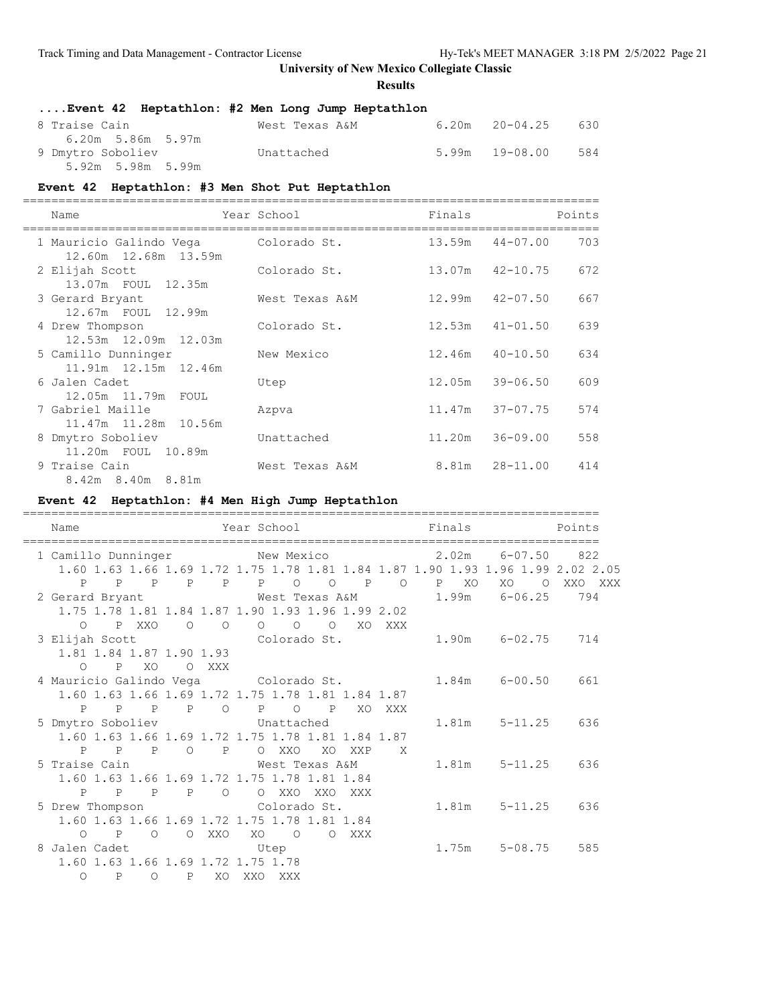**Results**

|                         | Event 42 Heptathlon: #2 Men Long Jump Heptathlon |                |     |
|-------------------------|--------------------------------------------------|----------------|-----|
| 8 Traise Cain           | West Texas A&M                                   | 6.20m 20-04.25 | 630 |
| 6.20m 5.86m 5.97m       |                                                  |                |     |
| 9 Dmytro Soboliev       | Unattached                                       | 5.99m 19-08.00 | 584 |
| $5.92m$ $5.98m$ $5.99m$ |                                                  |                |     |

### **Event 42 Heptathlon: #3 Men Shot Put Heptathlon**

| Name                                                           | Year School    | Finals | Points                     |
|----------------------------------------------------------------|----------------|--------|----------------------------|
| 1 Mauricio Galindo Vega<br>12.60m 12.68m 13.59m                | Colorado St.   |        | $13.59m$ $44-07.00$<br>703 |
| 2 Elijah Scott<br>13.07m FOUL 12.35m                           | Colorado St.   | 13.07m | 672<br>42-10.75            |
| 3 Gerard Bryant<br>12.67m FOUL 12.99m                          | West Texas A&M |        | $12.99m$ $42-07.50$<br>667 |
| 4 Drew Thompson<br>12.53m 12.09m 12.03m                        | Colorado St.   | 12.53m | 639<br>$41 - 01.50$        |
| 5 Camillo Dunninger<br>11.91m 12.15m 12.46m                    | New Mexico     | 12.46m | $40 - 10.50$<br>634        |
| 6 Jalen Cadet<br>12.05m 11.79m FOUL                            | Utep           |        | $12.05m$ $39-06.50$<br>609 |
| 7 Gabriel Maille<br>11.47m 11.28m 10.56m                       | Azpva          | 11.47m | 37-07.75<br>574            |
| 8 Dmytro Soboliev                                              | Unattached     | 11.20m | 558<br>36-09.00            |
| 11.20m FOUL 10.89m<br>9 Traise Cain<br>$8.42m$ $8.40m$ $8.81m$ | West Texas A&M |        | 414<br>$8.81m$ $28-11.00$  |

### **Event 42 Heptathlon: #4 Men High Jump Heptathlon**

================================================================================= Name  $Year School$  Finals Points ================================================================================= 1 Camillo Dunninger New Mexico 1.60 1.63 1.66 1.69 1.72 1.75 1.78 1.81 1.84 1.87 1.90 1.93 1.96 1.99 2.02 2.05 P P P P P P O O P O P XO XO O XXO XXX 2 Gerard Bryant West Texas A&M 1.99m 6-06.25 794 1.75 1.78 1.81 1.84 1.87 1.90 1.93 1.96 1.99 2.02 O P XXO O O O O O XO XXX 3 Elijah Scott Colorado St. 1.90m 6-02.75 714 1.81 1.84 1.87 1.90 1.93 O P XO O XXX 4 Mauricio Galindo Vega Colorado St. 1.84m 6-00.50 661 1.60 1.63 1.66 1.69 1.72 1.75 1.78 1.81 1.84 1.87 P P P P O P O P XO XXX 5 Dmytro Soboliev Unattached 1.81m 5-11.25 636 1.60 1.63 1.66 1.69 1.72 1.75 1.78 1.81 1.84 1.87 P P P O P O XXO XO XXP X 5 Traise Cain West Texas A&M 1.81m 5-11.25 636 1.60 1.63 1.66 1.69 1.72 1.75 1.78 1.81 1.84 P P P P O O XXO XXO XXX 5 Drew Thompson Colorado St. 1.81m 5-11.25 636 1.60 1.63 1.66 1.69 1.72 1.75 1.78 1.81 1.84 O P O O XXO XO O O XXX 8 Jalen Cadet Utep 1.75m 5-08.75 585 1.60 1.63 1.66 1.69 1.72 1.75 1.78 O P O P XO XXO XXX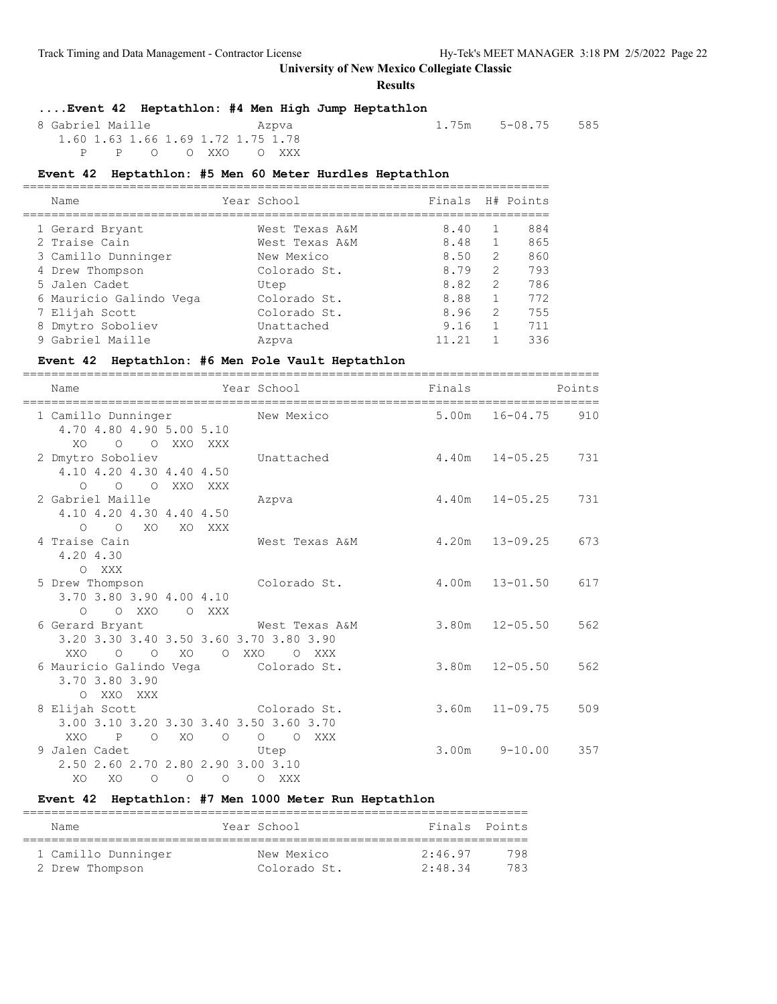1.75m 5-08.75 585

### **University of New Mexico Collegiate Classic**

#### **Results**

### **....Event 42 Heptathlon: #4 Men High Jump Heptathlon**

| 8 Gabriel Maille |                                    | Azpva |           |  |  |
|------------------|------------------------------------|-------|-----------|--|--|
|                  | 1.60 1.63 1.66 1.69 1.72 1.75 1.78 |       |           |  |  |
|                  |                                    |       | OOXXOOXXX |  |  |

### **Event 42 Heptathlon: #5 Men 60 Meter Hurdles Heptathlon**

| Name                    | Year School    | Finals |              | H# Points |
|-------------------------|----------------|--------|--------------|-----------|
|                         |                |        |              |           |
| 1 Gerard Bryant         | West Texas A&M | 8.40   | 1            | 884       |
| 2 Traise Cain           | West Texas A&M | 8.48   | $\mathbf{1}$ | 865       |
| 3 Camillo Dunninger     | New Mexico     | 8.50   | 2            | 860       |
| 4 Drew Thompson         | Colorado St.   | 8.79   | 2            | 793       |
| 5 Jalen Cadet           | Utep           | 8.82   | 2            | 786       |
| 6 Mauricio Galindo Vega | Colorado St.   | 8.88   | $\mathbf{1}$ | 772       |
| 7 Elijah Scott          | Colorado St.   | 8.96   | 2            | 755       |
| 8 Dmytro Soboliev       | Unattached     | 9.16   | 1            | 711       |
| 9 Gabriel Maille        | Azpva          | 11.21  |              | 336       |

==========================================================================

### **Event 42 Heptathlon: #6 Men Pole Vault Heptathlon**

================================================================================= Year School **Finals** Points ================================================================================= 1 Camillo Dunninger New Mexico 4.70 4.80 4.90 5.00 5.10 XO O O XXO XXX 2 Dmytro Soboliev Unattached 4.40m 14-05.25 731 4.10 4.20 4.30 4.40 4.50 O O O XXO XXX 2 Gabriel Maille Azpva 4.40m 14-05.25 731 4.10 4.20 4.30 4.40 4.50 O O XO XO XXX 4 Traise Cain West Texas A&M 4.20m 13-09.25 673 4.20 4.30 O XXX 5 Drew Thompson Colorado St. 4.00m 13-01.50 617 3.70 3.80 3.90 4.00 4.10 O O XXO O XXX 6 Gerard Bryant West Texas A&M 3.80m 12-05.50 562 3.20 3.30 3.40 3.50 3.60 3.70 3.80 3.90 XXO O O XO O XXO O XXX 6 Mauricio Galindo Vega Colorado St. 3.80m 12-05.50 562 3.70 3.80 3.90 O XXO XXX 8 Elijah Scott Colorado St. 3.60m 11-09.75 509 3.00 3.10 3.20 3.30 3.40 3.50 3.60 3.70 XXO P O XO O O O XXX 9 Jalen Cadet Utep 3.00m 9-10.00 357 2.50 2.60 2.70 2.80 2.90 3.00 3.10 XO XO O O O O XXX

### **Event 42 Heptathlon: #7 Men 1000 Meter Run Heptathlon**

| Name                | Year School  | Finals Points |      |
|---------------------|--------------|---------------|------|
|                     |              |               |      |
| 1 Camillo Dunninger | New Mexico   | 2:46.97       | 798  |
| 2 Drew Thompson     | Colorado St. | 2:48.34       | 783. |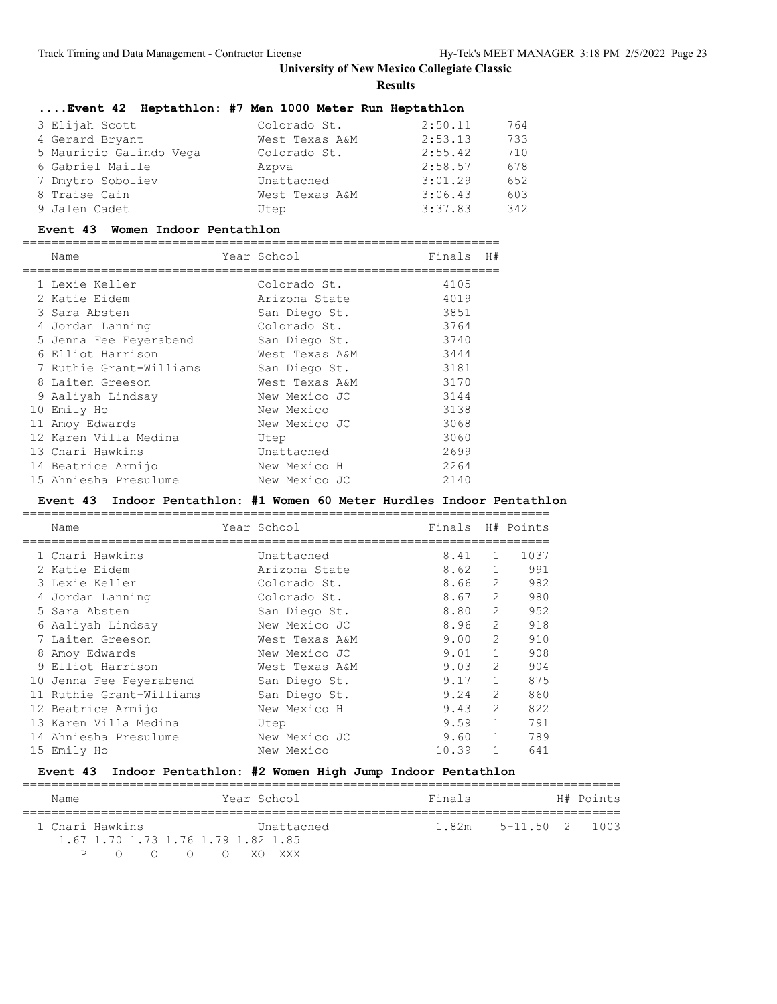### **Results**

| Event 42 Heptathlon: #7 Men 1000 Meter Run Heptathlon |                |         |     |
|-------------------------------------------------------|----------------|---------|-----|
| 3 Elijah Scott                                        | Colorado St.   | 2:50.11 | 764 |
| 4 Gerard Bryant                                       | West Texas A&M | 2:53.13 | 733 |
| 5 Mauricio Galindo Vega                               | Colorado St.   | 2:55.42 | 710 |
| 6 Gabriel Maille                                      | Azpva          | 2:58.57 | 678 |
| 7 Dmytro Soboliev                                     | Unattached     | 3:01.29 | 652 |
| 8 Traise Cain                                         | West Texas A&M | 3:06.43 | 603 |
| 9 Jalen Cadet                                         | Utep           | 3:37.83 | 342 |

### **Event 43 Women Indoor Pentathlon**

#### =================================================================== Year School

| <b>IVAILLE</b>          | TEAT PANAAT    | r inato | 11 TT |
|-------------------------|----------------|---------|-------|
| 1 Lexie Keller          | Colorado St.   | 4105    |       |
| 2 Katie Eidem           | Arizona State  | 4019    |       |
| 3 Sara Absten           | San Diego St.  | 3851    |       |
| 4 Jordan Lanning        | Colorado St.   | 3764    |       |
| 5 Jenna Fee Feyerabend  | San Diego St.  | 3740    |       |
| 6 Elliot Harrison       | West Texas A&M | 3444    |       |
| 7 Ruthie Grant-Williams | San Diego St.  | 3181    |       |
| 8 Laiten Greeson        | West Texas A&M | 3170    |       |
| 9 Aaliyah Lindsay       | New Mexico JC  | 3144    |       |
| 10 Emily Ho             | New Mexico     | 3138    |       |
| 11 Amoy Edwards         | New Mexico JC  | 3068    |       |
| 12 Karen Villa Medina   | Utep           | 3060    |       |
| 13 Chari Hawkins        | Unattached     | 2699    |       |
| 14 Beatrice Armijo      | New Mexico H   | 2264    |       |
| 15 Ahniesha Presulume   | New Mexico JC  | 2140    |       |

### **Event 43 Indoor Pentathlon: #1 Women 60 Meter Hurdles Indoor Pentathlon**

| Name                     | Year School    | Finals H# Points |                |      |
|--------------------------|----------------|------------------|----------------|------|
|                          |                |                  |                |      |
| 1 Chari Hawkins          | Unattached     | 8.41             | 1              | 1037 |
| 2 Katie Eidem            | Arizona State  | 8.62             | $\mathbf{1}$   | 991  |
| 3 Lexie Keller           | Colorado St.   | 8.66             | $\mathfrak{L}$ | 982  |
| 4 Jordan Lanning         | Colorado St.   | 8.67             | $\mathcal{L}$  | 980  |
| 5 Sara Absten            | San Diego St.  | 8.80             | $\mathfrak{D}$ | 952  |
| 6 Aaliyah Lindsay        | New Mexico JC  | 8.96             | $\mathfrak{D}$ | 918  |
| 7 Laiten Greeson         | West Texas A&M | 9.00             | $\mathfrak{D}$ | 910  |
| 8 Amoy Edwards           | New Mexico JC  | 9.01             | $\mathbf{1}$   | 908  |
| 9 Elliot Harrison        | West Texas A&M | 9.03             | $\mathcal{L}$  | 904  |
| 10 Jenna Fee Feyerabend  | San Diego St.  | 9.17             | $\mathbf{1}$   | 875  |
| 11 Ruthie Grant-Williams | San Diego St.  | 9.24             | $\mathfrak{D}$ | 860  |
| 12 Beatrice Armijo       | New Mexico H   | 9.43             | $\mathfrak{D}$ | 822  |
| 13 Karen Villa Medina    | Utep           | 9.59             | $\mathbf{1}$   | 791  |
| 14 Ahniesha Presulume    | New Mexico JC  | 9.60             | $\mathbf{1}$   | 789  |
| 15 Emily Ho              | New Mexico     | 10.39            | 1              | 641  |

## **Event 43 Indoor Pentathlon: #2 Women High Jump Indoor Pentathlon**

| Name            |     |  | Year School                        |            |  | Finals |                              | H# Points |
|-----------------|-----|--|------------------------------------|------------|--|--------|------------------------------|-----------|
| 1 Chari Hawkins |     |  |                                    | Unattached |  |        | $1.82m$ $5-11.50$ $2$ $1003$ |           |
|                 |     |  | 1.67 1.70 1.73 1.76 1.79 1.82 1.85 |            |  |        |                              |           |
| P               | - 0 |  | XO XXX                             |            |  |        |                              |           |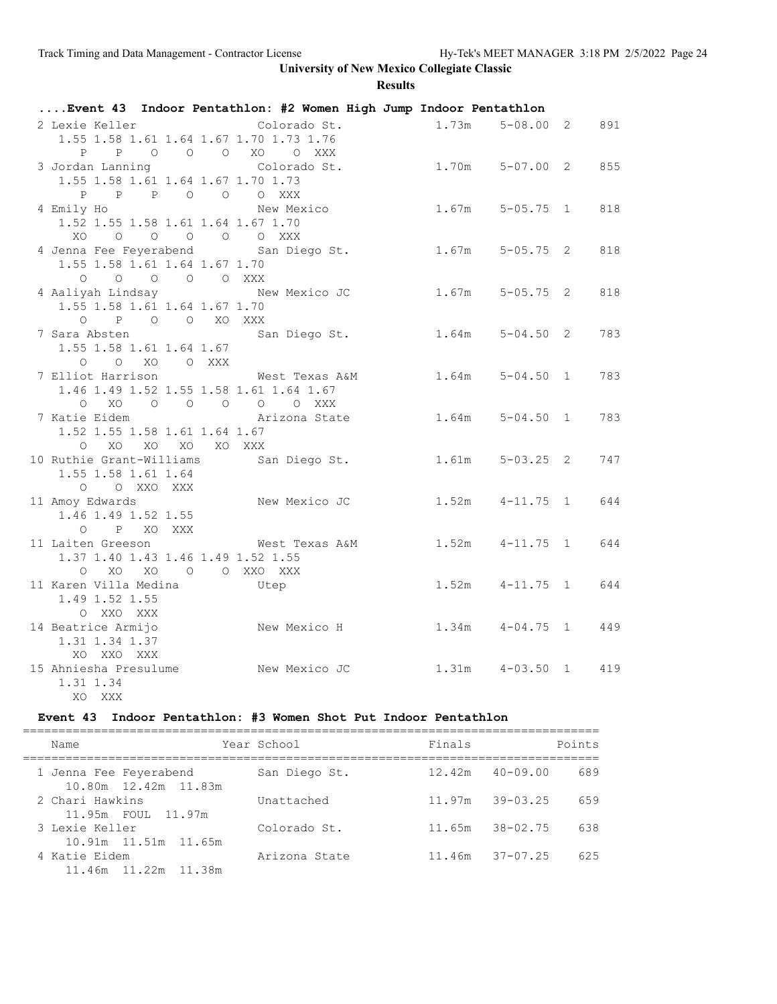## **Results**

|                                                                                                      | Event 43 Indoor Pentathlon: #2 Women High Jump Indoor Pentathlon      |                        |     |
|------------------------------------------------------------------------------------------------------|-----------------------------------------------------------------------|------------------------|-----|
| 2 Lexie Keller Colorado St.<br>1.55 1.58 1.61 1.64 1.67 1.70 1.73 1.76                               |                                                                       | 1.73m<br>$5 - 08.002$  | 891 |
| $\mathsf{P}$<br>$\mathbb{P}$<br>3 Jordan Lanning Colorado St.<br>1.55 1.58 1.61 1.64 1.67 1.70 1.73  | O O O XO O XXX                                                        | 1.70m 5-07.00 2        | 855 |
| $P$ $P$ $P$ 0 0<br>4 Emily Ho<br>1.52 1.55 1.58 1.61 1.64 1.67 1.70                                  | O XXX<br>New Mexico                                                   | $1.67m$ $5-05.75$ 1    | 818 |
| XO O O O O O XXX<br>4 Jenna Fee Feyerabend San Diego St.<br>1.55 1.58 1.61 1.64 1.67 1.70            |                                                                       | $5 - 05.75$ 2<br>1.67m | 818 |
| $0$ 0 0 0 0 XXX<br>4 Aaliyah Lindsay New Mexico JC<br>1.55 1.58 1.61 1.64 1.67 1.70                  |                                                                       | 1.67m<br>$5 - 05.75$ 2 | 818 |
| 0 P O O XO XXX<br>7 Sara Absten<br>1.55 1.58 1.61 1.64 1.67                                          | San Diego St. 1.64m 5-04.50 2                                         |                        | 783 |
| $\Omega$<br>XO.<br>O XXX<br>$\Omega$<br>7 Elliot Harrison<br>1.46 1.49 1.52 1.55 1.58 1.61 1.64 1.67 | West Texas A&M                                                        | 1.64m<br>$5 - 04.50$ 1 | 783 |
| XO<br>$\Omega$<br>7 Katie Eidem<br>1.52 1.55 1.58 1.61 1.64 1.67                                     | $\begin{matrix} 0 & 0 & 0 & 0 \end{matrix}$<br>O XXX<br>Arizona State | $1.64m$ $5-04.50$ 1    | 783 |
| O XO<br>10 Ruthie Grant-Williams San Diego St.<br>1.55 1.58 1.61 1.64                                | XO XO XO XXX                                                          | 1.61m<br>$5 - 03.25$ 2 | 747 |
| O O XXO XXX<br>11 Amoy Edwards<br>1.46 1.49 1.52 1.55                                                | New Mexico JC                                                         | $1.52m$ $4-11.75$ 1    | 644 |
| O P XO XXX<br>11 Laiten Greeson<br>1.37 1.40 1.43 1.46 1.49 1.52 1.55                                | West Texas A&M                                                        | 1.52m<br>$4 - 11.75$ 1 | 644 |
| $\Omega$<br>XO.<br>XO<br>11 Karen Villa Medina<br>1.49 1.52 1.55                                     | O O XXO XXX<br>Utep                                                   | 1.52m<br>$4 - 11.75$ 1 | 644 |
| O XXO XXX<br>14 Beatrice Armijo<br>1.31 1.34 1.37                                                    | New Mexico H                                                          | 1.34m<br>$4 - 04.75$ 1 | 449 |
| XO XXO XXX<br>15 Ahniesha Presulume<br>1.31 1.34<br>XO XXX                                           | New Mexico JC                                                         | 1.31m<br>$4 - 03.50$ 1 | 419 |

## **Event 43 Indoor Pentathlon: #3 Women Shot Put Indoor Pentathlon**

| Name                                           | Year School   | Finals              | Points              |
|------------------------------------------------|---------------|---------------------|---------------------|
| 1 Jenna Fee Feyerabend<br>10.80m 12.42m 11.83m | San Diego St. | 12.42m              | $40 - 09.00$<br>689 |
| 2 Chari Hawkins<br>11.95m FOUL 11.97m          | Unattached    | 11.97m              | 39-03.25<br>659     |
| 3 Lexie Keller<br>10.91m 11.51m 11.65m         | Colorado St.  | 11.65m              | 638<br>38-02.75     |
| 4 Katie Eidem<br>11.46m 11.22m 11.38m          | Arizona State | $11.46m$ $37-07.25$ | 625                 |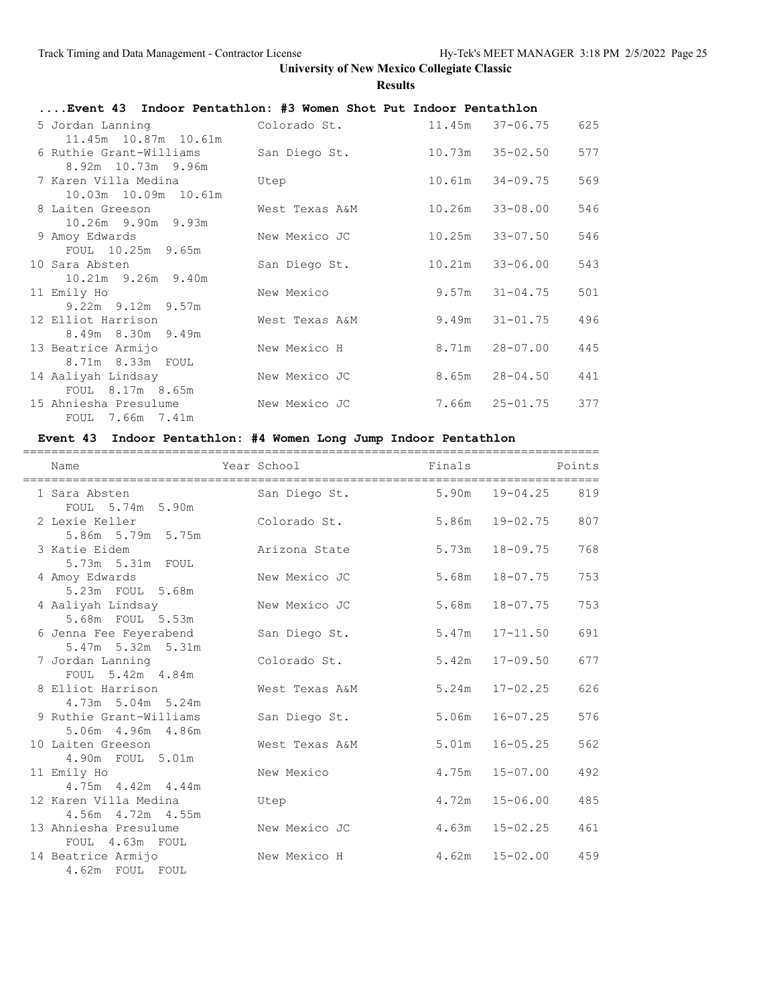| Event 43 Indoor Pentathlon: #3 Women Shot Put Indoor Pentathlon |                |        |                     |     |
|-----------------------------------------------------------------|----------------|--------|---------------------|-----|
| 5 Jordan Lanning                                                | Colorado St.   |        | $11.45m$ $37-06.75$ | 625 |
| 11.45m 10.87m 10.61m                                            |                |        |                     |     |
| 6 Ruthie Grant-Williams                                         | San Diego St.  |        | $10.73m$ $35-02.50$ | 577 |
| 8.92m 10.73m 9.96m                                              |                |        |                     |     |
| 7 Karen Villa Medina                                            | Utep           | 10.61m | 34-09.75            | 569 |
| 10.03m 10.09m 10.61m                                            |                |        |                     |     |
| 8 Laiten Greeson                                                | West Texas A&M |        | $10.26m$ $33-08.00$ | 546 |
| 10.26m 9.90m 9.93m                                              |                |        |                     |     |
| 9 Amoy Edwards                                                  | New Mexico JC  |        | $10.25m$ $33-07.50$ | 546 |
| FOUL 10.25m 9.65m                                               |                |        |                     |     |
| 10 Sara Absten                                                  | San Diego St.  |        | 10.21m 33-06.00     | 543 |
| 10.21m 9.26m 9.40m                                              |                |        |                     |     |
| 11 Emily Ho                                                     | New Mexico     |        | $9.57m$ $31-04.75$  | 501 |
| $9.22m$ $9.12m$ $9.57m$                                         |                |        |                     |     |
| 12 Elliot Harrison                                              | West Texas A&M |        | $9.49m$ $31-01.75$  | 496 |
|                                                                 |                |        |                     |     |
| 8.49m 8.30m 9.49m                                               |                |        |                     |     |
| 13 Beatrice Armijo                                              | New Mexico H   |        | $8.71m$ $28-07.00$  | 445 |
| 8.71m 8.33m FOUL                                                |                |        |                     |     |
| 14 Aaliyah Lindsay                                              | New Mexico JC  |        | $8.65m$ $28-04.50$  | 441 |
| FOUL 8.17m 8.65m                                                |                |        |                     |     |
| 15 Ahniesha Presulume                                           | New Mexico JC  |        | 7.66m 25-01.75      | 377 |
| FOUL 7.66m 7.41m                                                |                |        |                     |     |

## **Event 43 Indoor Pentathlon: #4 Women Long Jump Indoor Pentathlon**

| Name                                         | Year School         | Finals |                    | Points |
|----------------------------------------------|---------------------|--------|--------------------|--------|
| 1 Sara Absten<br>FOUL 5.74m 5.90m            | San Diego St. 5.90m |        | $19 - 04.25$       | 819    |
| 2 Lexie Keller<br>5.86m 5.79m 5.75m          | Colorado St.        | 5.86m  | 19-02.75           | 807    |
| 3 Katie Eidem<br>5.73m 5.31m FOUL            | Arizona State       | 5.73m  | $18 - 09.75$       | 768    |
| 4 Amoy Edwards<br>5.23m FOUL 5.68m           | New Mexico JC       | 5.68m  | $18 - 07.75$       | 753    |
| 4 Aaliyah Lindsay<br>5.68m FOUL 5.53m        | New Mexico JC       | 5.68m  | $18 - 07.75$       | 753    |
| 6 Jenna Fee Feyerabend<br>5.47m 5.32m 5.31m  | San Diego St.       | 5.47m  | $17 - 11.50$       | 691    |
| 7 Jordan Lanning<br>FOUL 5.42m 4.84m         | Colorado St.        | 5.42m  | $17 - 09.50$       | 677    |
| 8 Elliot Harrison<br>4.73m 5.04m 5.24m       | West Texas A&M      | 5.24m  | $17 - 02.25$       | 626    |
| 9 Ruthie Grant-Williams<br>5.06m 4.96m 4.86m | San Diego St.       | 5.06m  | $16 - 07.25$       | 576    |
| 10 Laiten Greeson<br>4.90m FOUL 5.01m        | West Texas A&M      | 5.01m  | $16 - 05.25$       | 562    |
| 11 Emily Ho<br>4.75m  4.42m  4.44m           | New Mexico          | 4.75m  | $15 - 07.00$       | 492    |
| 12 Karen Villa Medina<br>4.56m 4.72m 4.55m   | Utep                |        | $4.72m$ $15-06.00$ | 485    |
| 13 Ahniesha Presulume<br>FOUL 4.63m FOUL     | New Mexico JC       | 4.63m  | $15 - 02.25$       | 461    |
| 14 Beatrice Armijo<br>4.62m FOUL FOUL        | New Mexico H        | 4.62m  | $15 - 02.00$       | 459    |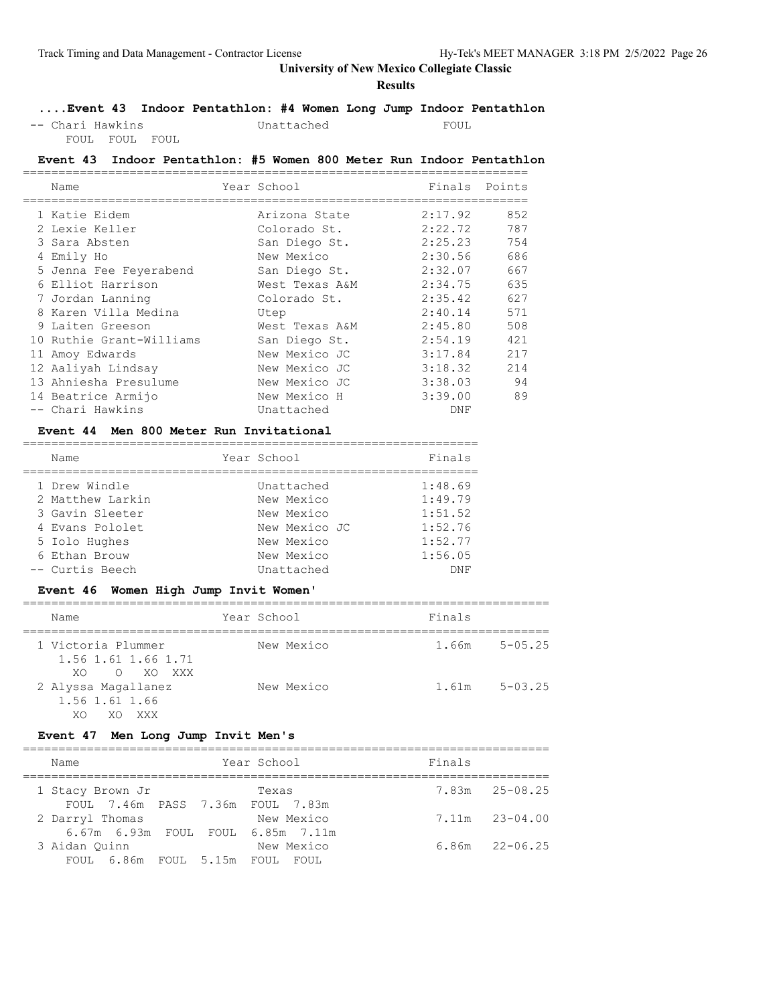**Results**

## **....Event 43 Indoor Pentathlon: #4 Women Long Jump Indoor Pentathlon**

 -- Chari Hawkins Unattached FOUL FOUL FOUL FOUL

### **Event 43 Indoor Pentathlon: #5 Women 800 Meter Run Indoor Pentathlon**

=======================================================================

| Name                     | Year School    | Finals  | Points |
|--------------------------|----------------|---------|--------|
| 1 Katie Eidem            | Arizona State  | 2:17.92 | 852    |
| 2 Lexie Keller           | Colorado St.   | 2:22.72 | 787    |
| 3 Sara Absten            | San Diego St.  | 2:25.23 | 754    |
| 4 Emily Ho               | New Mexico     | 2:30.56 | 686    |
| 5 Jenna Fee Feyerabend   | San Diego St.  | 2:32.07 | 667    |
| 6 Elliot Harrison        | West Texas A&M | 2:34.75 | 635    |
| 7 Jordan Lanning         | Colorado St.   | 2:35.42 | 627    |
| 8 Karen Villa Medina     | Utep           | 2:40.14 | 571    |
| 9 Laiten Greeson         | West Texas A&M | 2:45.80 | 508    |
| 10 Ruthie Grant-Williams | San Diego St.  | 2:54.19 | 421    |
| 11 Amoy Edwards          | New Mexico JC  | 3:17.84 | 217    |
| 12 Aaliyah Lindsay       | New Mexico JC  | 3:18.32 | 214    |
| 13 Ahniesha Presulume    | New Mexico JC  | 3:38.03 | 94     |
| 14 Beatrice Armijo       | New Mexico H   | 3:39.00 | 89     |
| -- Chari Hawkins         | Unattached     | DNF     |        |

### **Event 44 Men 800 Meter Run Invitational**

| Name                              | Year School              | Finals             |
|-----------------------------------|--------------------------|--------------------|
| 1 Drew Windle<br>2 Matthew Larkin | Unattached<br>New Mexico | 1:48.69<br>1:49.79 |
| 3 Gavin Sleeter                   | New Mexico               | 1:51.52            |
| 4 Evans Pololet                   | New Mexico JC            | 1:52.76            |
| 5 Iolo Hughes                     | New Mexico               | 1:52.77            |
| 6 Ethan Brouw                     | New Mexico               | 1:56.05            |
| -- Curtis Beech                   | Unattached               | DNF                |

### **Event 46 Women High Jump Invit Women'**

| Name                                                       | Year School | Finals            |             |
|------------------------------------------------------------|-------------|-------------------|-------------|
| 1 Victoria Plummer<br>1.56 1.61 1.66 1.71<br>XOOXOXXX      | New Mexico  | $1.66m$ $5-05.25$ |             |
| 2 Alyssa Magallanez<br>1.56 1.61 1.66<br>XO.<br><b>XXX</b> | New Mexico  | 1.61m             | $5 - 03.25$ |

#### **Event 47 Men Long Jump Invit Men's**

==========================================================================

| Name                              | Year School | Finals |                    |
|-----------------------------------|-------------|--------|--------------------|
| 1 Stacy Brown Jr                  | Texas       |        | $7.83m$ $25-08.25$ |
| FOUL 7.46m PASS 7.36m FOUL 7.83m  |             |        |                    |
| 2 Darryl Thomas                   | New Mexico  |        | $7.11m$ $23-04.00$ |
| 6.67m 6.93m FOUL FOUL 6.85m 7.11m |             |        |                    |
| 3 Aidan Ouinn                     | New Mexico  |        | $6.86m$ $22-06.25$ |
| FOUL 6.86m FOUL 5.15m FOUL FOUL   |             |        |                    |